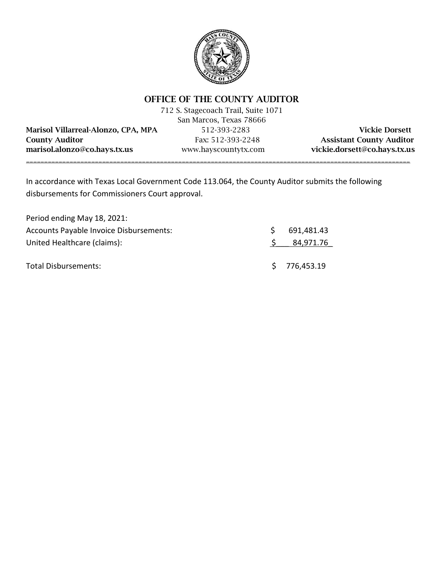

# OFFICE OF THE COUNTY AUDITOR

|                                     | 712 S. Stagecoach Trail, Suite 1071 |                                 |
|-------------------------------------|-------------------------------------|---------------------------------|
|                                     | San Marcos, Texas 78666             |                                 |
| Marisol Villarreal-Alonzo, CPA, MPA | 512-393-2283                        | <b>Vickie Dorsett</b>           |
| <b>County Auditor</b>               | Fax: 512-393-2248                   | <b>Assistant County Auditor</b> |
| marisol.alonzo@co.hays.tx.us        | www.hayscountytx.com                | vickie.dorsett@co.hays.tx.us    |
|                                     |                                     |                                 |

In accordance with Texas Local Government Code 113.064, the County Auditor submits the following disbursements for Commissioners Court approval.

| Period ending May 18, 2021:             |    |              |
|-----------------------------------------|----|--------------|
| Accounts Payable Invoice Disbursements: | S. | 691,481.43   |
| United Healthcare (claims):             |    | 84,971.76    |
| Total Disbursements:                    |    | \$776,453.19 |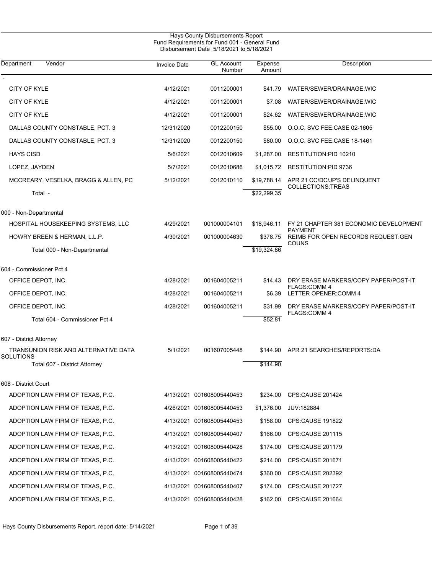| Hays County Disbursements Report<br>Fund Requirements for Fund 001 - General Fund<br>Disbursement Date 5/18/2021 to 5/18/2021 |                     |                             |                   |                                                      |  |  |
|-------------------------------------------------------------------------------------------------------------------------------|---------------------|-----------------------------|-------------------|------------------------------------------------------|--|--|
| Vendor<br>Department                                                                                                          | <b>Invoice Date</b> | <b>GL Account</b><br>Number | Expense<br>Amount | Description                                          |  |  |
| CITY OF KYLE                                                                                                                  | 4/12/2021           | 0011200001                  | \$41.79           | WATER/SEWER/DRAINAGE:WIC                             |  |  |
| CITY OF KYLE                                                                                                                  | 4/12/2021           | 0011200001                  | \$7.08            | WATER/SEWER/DRAINAGE:WIC                             |  |  |
| CITY OF KYLE                                                                                                                  | 4/12/2021           | 0011200001                  | \$24.62           | WATER/SEWER/DRAINAGE:WIC                             |  |  |
| DALLAS COUNTY CONSTABLE, PCT. 3                                                                                               | 12/31/2020          | 0012200150                  | \$55.00           | O.O.C. SVC FEE.CASE 02-1605                          |  |  |
| DALLAS COUNTY CONSTABLE, PCT. 3                                                                                               | 12/31/2020          | 0012200150                  | \$80.00           | O.O.C. SVC FEE.CASE 18-1461                          |  |  |
| <b>HAYS CISD</b>                                                                                                              | 5/6/2021            | 0012010609                  | \$1,287.00        | RESTITUTION:PID 10210                                |  |  |
| LOPEZ, JAYDEN                                                                                                                 | 5/7/2021            | 0012010686                  | \$1,015.72        | <b>RESTITUTION:PID 9736</b>                          |  |  |
| MCCREARY, VESELKA, BRAGG & ALLEN, PC                                                                                          | 5/12/2021           | 0012010110                  | \$19,788.14       | APR 21 CC/DC/JP'S DELINQUENT<br>COLLECTIONS:TREAS    |  |  |
| Total -                                                                                                                       |                     |                             | \$22,299.35       |                                                      |  |  |
| 000 - Non-Departmental                                                                                                        |                     |                             |                   |                                                      |  |  |
| HOSPITAL HOUSEKEEPING SYSTEMS, LLC                                                                                            | 4/29/2021           | 001000004101                | \$18,946.11       | FY 21 CHAPTER 381 ECONOMIC DEVELOPMENT               |  |  |
| HOWRY BREEN & HERMAN, L.L.P.                                                                                                  | 4/30/2021           | 001000004630                | \$378.75          | <b>PAYMENT</b><br>REIMB FOR OPEN RECORDS REQUEST GEN |  |  |
| Total 000 - Non-Departmental                                                                                                  |                     |                             | \$19,324.86       | <b>COUNS</b>                                         |  |  |
| 604 - Commissioner Pct 4                                                                                                      |                     |                             |                   |                                                      |  |  |
| OFFICE DEPOT, INC.                                                                                                            | 4/28/2021           | 001604005211                | \$14.43           | DRY ERASE MARKERS/COPY PAPER/POST-IT                 |  |  |
| OFFICE DEPOT, INC.                                                                                                            | 4/28/2021           | 001604005211                | \$6.39            | <b>FLAGS:COMM 4</b><br>LETTER OPENER: COMM 4         |  |  |
| OFFICE DEPOT, INC.                                                                                                            | 4/28/2021           | 001604005211                | \$31.99           | DRY ERASE MARKERS/COPY PAPER/POST-IT                 |  |  |
| Total 604 - Commissioner Pct 4                                                                                                |                     |                             | \$52.81           | <b>FLAGS:COMM 4</b>                                  |  |  |
| 607 - District Attorney                                                                                                       |                     |                             |                   |                                                      |  |  |
| TRANSUNION RISK AND ALTERNATIVE DATA<br>SOLUTIONS                                                                             | 5/1/2021            | 001607005448                |                   | \$144.90 APR 21 SEARCHES/REPORTS:DA                  |  |  |
| Total 607 - District Attorney                                                                                                 |                     |                             | \$144.90          |                                                      |  |  |
| 608 - District Court                                                                                                          |                     |                             |                   |                                                      |  |  |
| ADOPTION LAW FIRM OF TEXAS, P.C.                                                                                              |                     | 4/13/2021 001608005440453   | \$234.00          | CPS:CAUSE 201424                                     |  |  |
| ADOPTION LAW FIRM OF TEXAS, P.C.                                                                                              |                     | 4/26/2021 001608005440453   | \$1,376.00        | JUV:182884                                           |  |  |
| ADOPTION LAW FIRM OF TEXAS, P.C.                                                                                              |                     | 4/13/2021 001608005440453   | \$158.00          | CPS:CAUSE 191822                                     |  |  |
| ADOPTION LAW FIRM OF TEXAS, P.C.                                                                                              |                     | 4/13/2021 001608005440407   | \$166.00          | CPS:CAUSE 201115                                     |  |  |
| ADOPTION LAW FIRM OF TEXAS, P.C.                                                                                              |                     | 4/13/2021 001608005440428   | \$174.00          | CPS:CAUSE 201179                                     |  |  |
| ADOPTION LAW FIRM OF TEXAS, P.C.                                                                                              |                     | 4/13/2021 001608005440422   | \$214.00          | CPS:CAUSE 201671                                     |  |  |
| ADOPTION LAW FIRM OF TEXAS, P.C.                                                                                              |                     | 4/13/2021 001608005440474   | \$360.00          | <b>CPS CAUSE 202392</b>                              |  |  |
| ADOPTION LAW FIRM OF TEXAS, P.C.                                                                                              |                     | 4/13/2021 001608005440407   | \$174.00          | CPS:CAUSE 201727                                     |  |  |
| ADOPTION LAW FIRM OF TEXAS, P.C.                                                                                              |                     | 4/13/2021 001608005440428   | \$162.00          | <b>CPS CAUSE 201664</b>                              |  |  |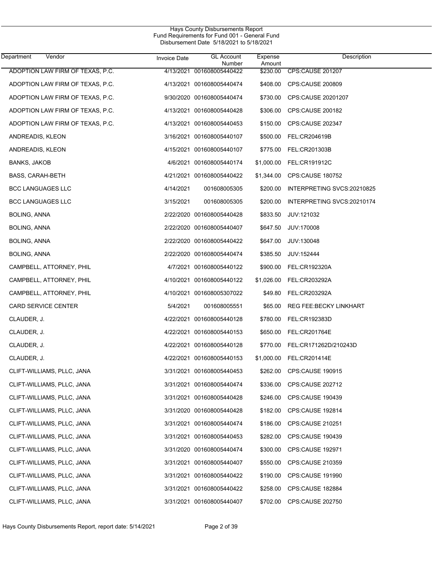| Department<br>Vendor             | Invoice Date | <b>GL Account</b><br>Number | Expense<br>Amount | Description                   |
|----------------------------------|--------------|-----------------------------|-------------------|-------------------------------|
| ADOPTION LAW FIRM OF TEXAS, P.C. |              | 4/13/2021 001608005440422   | \$230.00          | CPS:CAUSE 201207              |
| ADOPTION LAW FIRM OF TEXAS, P.C. |              | 4/13/2021 001608005440474   | \$408.00          | CPS:CAUSE 200809              |
| ADOPTION LAW FIRM OF TEXAS, P.C. |              | 9/30/2020 001608005440474   | \$730.00          | CPS:CAUSE 20201207            |
| ADOPTION LAW FIRM OF TEXAS, P.C. |              | 4/13/2021 001608005440428   | \$306.00          | CPS:CAUSE 200182              |
| ADOPTION LAW FIRM OF TEXAS, P.C. |              | 4/13/2021 001608005440453   | \$150.00          | CPS:CAUSE 202347              |
| ANDREADIS, KLEON                 |              | 3/16/2021 001608005440107   | \$500.00          | FEL:CR204619B                 |
| ANDREADIS, KLEON                 |              | 4/15/2021 001608005440107   | \$775.00          | FEL:CR201303B                 |
| BANKS, JAKOB                     |              | 4/6/2021 001608005440174    | \$1,000.00        | FEL:CR191912C                 |
| <b>BASS, CARAH-BETH</b>          |              | 4/21/2021 001608005440422   | \$1,344.00        | CPS:CAUSE 180752              |
| <b>BCC LANGUAGES LLC</b>         | 4/14/2021    | 001608005305                | \$200.00          | INTERPRETING SVCS:20210825    |
| <b>BCC LANGUAGES LLC</b>         | 3/15/2021    | 001608005305                | \$200.00          | INTERPRETING SVCS:20210174    |
| BOLING, ANNA                     |              | 2/22/2020 001608005440428   | \$833.50          | JUV:121032                    |
| BOLING, ANNA                     |              | 2/22/2020 001608005440407   | \$647.50          | JUV:170008                    |
| BOLING, ANNA                     |              | 2/22/2020 001608005440422   | \$647.00          | JUV:130048                    |
| <b>BOLING, ANNA</b>              |              | 2/22/2020 001608005440474   | \$385.50          | JUV:152444                    |
| CAMPBELL, ATTORNEY, PHIL         |              | 4/7/2021 001608005440122    | \$900.00          | FEL:CR192320A                 |
| CAMPBELL, ATTORNEY, PHIL         |              | 4/10/2021 001608005440122   | \$1,026.00        | FEL:CR203292A                 |
| CAMPBELL, ATTORNEY, PHIL         |              | 4/10/2021 001608005307022   | \$49.80           | FEL:CR203292A                 |
| CARD SERVICE CENTER              | 5/4/2021     | 001608005551                | \$65.00           | <b>REG FEE:BECKY LINKHART</b> |
| CLAUDER, J.                      |              | 4/22/2021 001608005440128   | \$780.00          | FEL:CR192383D                 |
| CLAUDER, J.                      |              | 4/22/2021 001608005440153   | \$650.00          | FEL:CR201764E                 |
| CLAUDER, J.                      |              | 4/22/2021 001608005440128   | \$770.00          | FEL:CR171262D/210243D         |
| CLAUDER, J.                      |              | 4/22/2021 001608005440153   | \$1,000.00        | FEL:CR201414E                 |
| CLIFT-WILLIAMS, PLLC, JANA       |              | 3/31/2021 001608005440453   | \$262.00          | <b>CPS:CAUSE 190915</b>       |
| CLIFT-WILLIAMS, PLLC, JANA       |              | 3/31/2021 001608005440474   | \$336.00          | CPS:CAUSE 202712              |
| CLIFT-WILLIAMS, PLLC, JANA       |              | 3/31/2021 001608005440428   | \$246.00          | <b>CPS CAUSE 190439</b>       |
| CLIFT-WILLIAMS, PLLC, JANA       |              | 3/31/2020 001608005440428   | \$182.00          | CPS:CAUSE 192814              |
| CLIFT-WILLIAMS, PLLC, JANA       |              | 3/31/2021 001608005440474   | \$186.00          | CPS:CAUSE 210251              |
| CLIFT-WILLIAMS, PLLC, JANA       |              | 3/31/2021 001608005440453   | \$282.00          | CPS:CAUSE 190439              |
| CLIFT-WILLIAMS, PLLC, JANA       |              | 3/31/2020 001608005440474   | \$300.00          | <b>CPS:CAUSE 192971</b>       |
| CLIFT-WILLIAMS, PLLC, JANA       |              | 3/31/2021 001608005440407   | \$550.00          | CPS:CAUSE 210359              |
| CLIFT-WILLIAMS, PLLC, JANA       |              | 3/31/2021 001608005440422   | \$190.00          | <b>CPS:CAUSE 191990</b>       |
| CLIFT-WILLIAMS, PLLC, JANA       |              | 3/31/2021 001608005440422   | \$258.00          | CPS:CAUSE 182884              |
| CLIFT-WILLIAMS, PLLC, JANA       |              | 3/31/2021 001608005440407   | \$702.00          | CPS:CAUSE 202750              |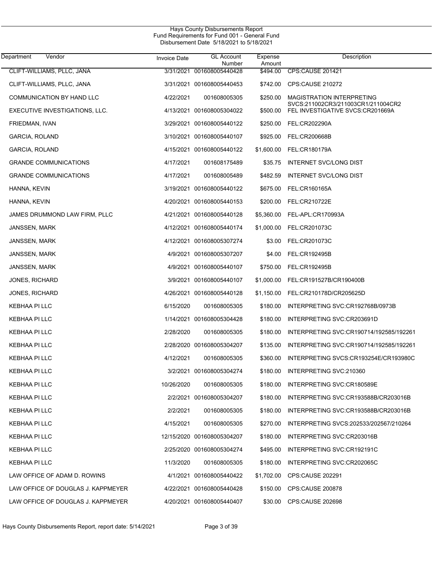| Department<br>Vendor               | <b>Invoice Date</b> | <b>GL Account</b><br>Number | Expense<br>Amount | Description                                                            |
|------------------------------------|---------------------|-----------------------------|-------------------|------------------------------------------------------------------------|
| CLIFT-WILLIAMS, PLLC, JANA         | 3/31/2021           | 001608005440428             | \$494.00          | <b>CPS:CAUSE 201421</b>                                                |
| CLIFT-WILLIAMS, PLLC, JANA         |                     | 3/31/2021 001608005440453   | \$742.00          | CPS:CAUSE 210272                                                       |
| COMMUNICATION BY HAND LLC          | 4/22/2021           | 001608005305                | \$250.00          | <b>MAGISTRATION INTERPRETING</b><br>SVCS:211002CR3/211003CR1/211004CR2 |
| EXECUTIVE INVESTIGATIONS, LLC.     |                     | 4/13/2021 001608005304022   | \$500.00          | FEL INVESTIGATIVE SVCS:CR201669A                                       |
| FRIEDMAN, IVAN                     |                     | 3/29/2021 001608005440122   | \$250.00          | FEL:CR202290A                                                          |
| GARCIA, ROLAND                     |                     | 3/10/2021 001608005440107   | \$925.00          | FEL:CR200668B                                                          |
| GARCIA, ROLAND                     |                     | 4/15/2021 001608005440122   | \$1,600.00        | FEL:CR180179A                                                          |
| <b>GRANDE COMMUNICATIONS</b>       | 4/17/2021           | 001608175489                | \$35.75           | INTERNET SVC/LONG DIST                                                 |
| <b>GRANDE COMMUNICATIONS</b>       | 4/17/2021           | 001608005489                | \$482.59          | INTERNET SVC/LONG DIST                                                 |
| HANNA, KEVIN                       |                     | 3/19/2021 001608005440122   | \$675.00          | FEL:CR160165A                                                          |
| HANNA, KEVIN                       |                     | 4/20/2021 001608005440153   | \$200.00          | FEL:CR210722E                                                          |
| JAMES DRUMMOND LAW FIRM, PLLC      |                     | 4/21/2021 001608005440128   | \$5,360.00        | FEL-APL:CR170993A                                                      |
| JANSSEN, MARK                      |                     | 4/12/2021 001608005440174   | \$1,000.00        | FEL:CR201073C                                                          |
| JANSSEN, MARK                      |                     | 4/12/2021 001608005307274   | \$3.00            | FEL:CR201073C                                                          |
| JANSSEN, MARK                      |                     | 4/9/2021 001608005307207    | \$4.00            | FEL:CR192495B                                                          |
| JANSSEN, MARK                      |                     | 4/9/2021 001608005440107    | \$750.00          | FEL:CR192495B                                                          |
| <b>JONES, RICHARD</b>              |                     | 3/9/2021 001608005440107    | \$1,000.00        | FEL:CR191527B/CR190400B                                                |
| <b>JONES, RICHARD</b>              |                     | 4/26/2021 001608005440128   | \$1,150.00        | FEL:CR210178D/CR205625D                                                |
| KEBHAA PI LLC                      | 6/15/2020           | 001608005305                | \$180.00          | INTERPRETING SVC:CR192768B/0973B                                       |
| KEBHAA PI LLC                      |                     | 1/14/2021 001608005304428   | \$180.00          | INTERPRETING SVC:CR203691D                                             |
| KEBHAA PI LLC                      | 2/28/2020           | 001608005305                | \$180.00          | INTERPRETING SVC:CR190714/192585/192261                                |
| KEBHAA PI LLC                      |                     | 2/28/2020 001608005304207   | \$135.00          | INTERPRETING SVC:CR190714/192585/192261                                |
| KEBHAA PI LLC                      | 4/12/2021           | 001608005305                | \$360.00          | INTERPRETING SVCS:CR193254E/CR193980C                                  |
| KEBHAA PI LLC                      |                     | 3/2/2021 001608005304274    | \$180.00          | INTERPRETING SVC:210360                                                |
| KEBHAA PI LLC                      | 10/26/2020          | 001608005305                | \$180.00          | INTERPRETING SVC:CR180589E                                             |
| KEBHAA PI LLC                      |                     | 2/2/2021 001608005304207    | \$180.00          | INTERPRETING SVC:CR193588B/CR203016B                                   |
| KEBHAA PI LLC                      | 2/2/2021            | 001608005305                | \$180.00          | INTERPRETING SVC:CR193588B/CR203016B                                   |
| KEBHAA PI LLC                      | 4/15/2021           | 001608005305                | \$270.00          | INTERPRETING SVCS:202533/202567/210264                                 |
| KEBHAA PI LLC                      |                     | 12/15/2020 001608005304207  | \$180.00          | INTERPRETING SVC:CR203016B                                             |
| KEBHAA PI LLC                      |                     | 2/25/2020 001608005304274   | \$495.00          | INTERPRETING SVC:CR192191C                                             |
| KEBHAA PI LLC                      | 11/3/2020           | 001608005305                | \$180.00          | INTERPRETING SVC:CR202065C                                             |
| LAW OFFICE OF ADAM D. ROWINS       |                     | 4/1/2021 001608005440422    | \$1,702.00        | CPS:CAUSE 202291                                                       |
| LAW OFFICE OF DOUGLAS J. KAPPMEYER |                     | 4/22/2021 001608005440428   | \$150.00          | CPS:CAUSE 200878                                                       |
| LAW OFFICE OF DOUGLAS J. KAPPMEYER |                     | 4/20/2021 001608005440407   | \$30.00           | <b>CPS:CAUSE 202698</b>                                                |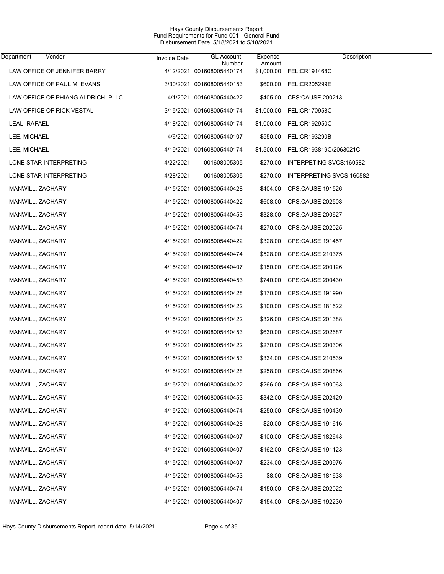| Department<br>Vendor               | Invoice Date | <b>GL</b> Account<br>Number | Expense<br>Amount | Description                       |
|------------------------------------|--------------|-----------------------------|-------------------|-----------------------------------|
| LAW OFFICE OF JENNIFER BARRY       |              | 4/12/2021 001608005440174   |                   | \$1,000.00 FEL:CR191468C          |
| LAW OFFICE OF PAUL M. EVANS        |              | 3/30/2021 001608005440153   |                   | \$600.00 FEL:CR205299E            |
| LAW OFFICE OF PHIANG ALDRICH, PLLC |              | 4/1/2021 001608005440422    |                   | \$405.00 CPS:CAUSE 200213         |
| LAW OFFICE OF RICK VESTAL          |              | 3/15/2021 001608005440174   |                   | \$1,000.00 FEL:CR170958C          |
| LEAL, RAFAEL                       |              | 4/18/2021 001608005440174   |                   | \$1,000.00 FEL:CR192950C          |
| LEE, MICHAEL                       |              | 4/6/2021 001608005440107    |                   | \$550.00 FEL:CR193290B            |
| LEE, MICHAEL                       |              | 4/19/2021 001608005440174   |                   | \$1,500.00 FEL:CR193819C/2063021C |
| LONE STAR INTERPRETING             | 4/22/2021    | 001608005305                |                   | \$270.00 INTERPETING SVCS:160582  |
| LONE STAR INTERPRETING             | 4/28/2021    | 001608005305                |                   | \$270.00 INTERPRETING SVCS:160582 |
| MANWILL, ZACHARY                   |              | 4/15/2021 001608005440428   |                   | \$404.00 CPS:CAUSE 191526         |
| MANWILL, ZACHARY                   |              | 4/15/2021 001608005440422   |                   | \$608.00 CPS:CAUSE 202503         |
| MANWILL, ZACHARY                   |              | 4/15/2021 001608005440453   |                   | \$328.00 CPS:CAUSE 200627         |
| MANWILL, ZACHARY                   |              | 4/15/2021 001608005440474   |                   | \$270.00 CPS:CAUSE 202025         |
| MANWILL, ZACHARY                   |              | 4/15/2021 001608005440422   |                   | \$328.00 CPS:CAUSE 191457         |
| MANWILL, ZACHARY                   |              | 4/15/2021 001608005440474   |                   | \$528.00 CPS:CAUSE 210375         |
| MANWILL, ZACHARY                   |              | 4/15/2021 001608005440407   |                   | \$150.00 CPS:CAUSE 200126         |
| MANWILL, ZACHARY                   |              | 4/15/2021 001608005440453   |                   | \$740.00 CPS:CAUSE 200430         |
| MANWILL, ZACHARY                   |              | 4/15/2021 001608005440428   |                   | \$170.00 CPS:CAUSE 191990         |
| MANWILL, ZACHARY                   |              | 4/15/2021 001608005440422   |                   | \$100.00 CPS:CAUSE 181622         |
| MANWILL, ZACHARY                   |              | 4/15/2021 001608005440422   |                   | \$326.00 CPS:CAUSE 201388         |
| MANWILL, ZACHARY                   |              | 4/15/2021 001608005440453   |                   | \$630.00 CPS:CAUSE 202687         |
| MANWILL, ZACHARY                   |              | 4/15/2021 001608005440422   |                   | \$270.00 CPS:CAUSE 200306         |
| MANWILL, ZACHARY                   |              | 4/15/2021 001608005440453   |                   | \$334.00 CPS:CAUSE 210539         |
| MANWILL, ZACHARY                   |              | 4/15/2021 001608005440428   | \$258.00          | <b>CPS:CAUSE 200866</b>           |
| MANWILL, ZACHARY                   |              | 4/15/2021 001608005440422   |                   | \$266.00 CPS:CAUSE 190063         |
| MANWILL, ZACHARY                   |              | 4/15/2021 001608005440453   |                   | \$342.00 CPS:CAUSE 202429         |
| MANWILL, ZACHARY                   |              | 4/15/2021 001608005440474   | \$250.00          | <b>CPS:CAUSE 190439</b>           |
| MANWILL, ZACHARY                   |              | 4/15/2021 001608005440428   | \$20.00           | <b>CPS:CAUSE 191616</b>           |
| MANWILL, ZACHARY                   |              | 4/15/2021 001608005440407   | \$100.00          | CPS:CAUSE 182643                  |
| MANWILL, ZACHARY                   |              | 4/15/2021 001608005440407   | \$162.00          | <b>CPS:CAUSE 191123</b>           |
| MANWILL, ZACHARY                   |              | 4/15/2021 001608005440407   | \$234.00          | CPS:CAUSE 200976                  |
| MANWILL, ZACHARY                   |              | 4/15/2021 001608005440453   | \$8.00            | <b>CPS:CAUSE 181633</b>           |
| MANWILL, ZACHARY                   |              | 4/15/2021 001608005440474   | \$150.00          | CPS:CAUSE 202022                  |
| MANWILL, ZACHARY                   |              | 4/15/2021 001608005440407   |                   | \$154.00 CPS:CAUSE 192230         |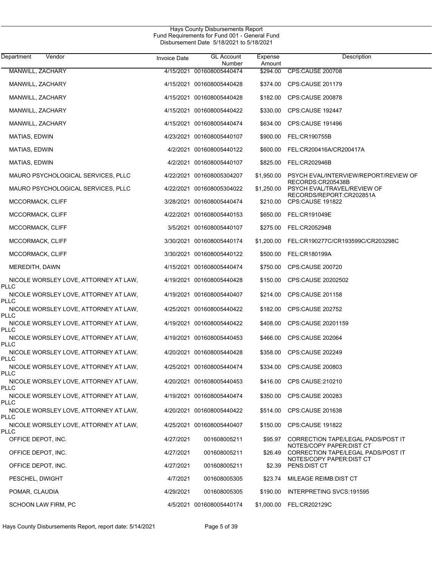| Department<br>Vendor                                 | <b>Invoice Date</b> | <b>GL Account</b><br>Number | Expense<br>Amount | Description                                                                                |
|------------------------------------------------------|---------------------|-----------------------------|-------------------|--------------------------------------------------------------------------------------------|
| MANWILL, ZACHARY                                     |                     | 4/15/2021 001608005440474   | \$294.00          | <b>CPS:CAUSE 200708</b>                                                                    |
| MANWILL, ZACHARY                                     |                     | 4/15/2021 001608005440428   | \$374.00          | CPS:CAUSE 201179                                                                           |
| MANWILL, ZACHARY                                     |                     | 4/15/2021 001608005440428   | \$182.00          | CPS:CAUSE 200878                                                                           |
| MANWILL, ZACHARY                                     |                     | 4/15/2021 001608005440422   | \$330.00          | CPS:CAUSE 192447                                                                           |
| MANWILL, ZACHARY                                     |                     | 4/15/2021 001608005440474   | \$634.00          | CPS:CAUSE 191496                                                                           |
| MATIAS, EDWIN                                        |                     | 4/23/2021 001608005440107   | \$900.00          | FEL:CR190755B                                                                              |
| MATIAS, EDWIN                                        |                     | 4/2/2021 001608005440122    | \$600.00          | FEL:CR200416A/CR200417A                                                                    |
| MATIAS, EDWIN                                        |                     | 4/2/2021 001608005440107    | \$825.00          | FEL:CR202946B                                                                              |
| MAURO PSYCHOLOGICAL SERVICES, PLLC                   |                     | 4/22/2021 001608005304207   | \$1,950.00        | PSYCH EVAL/INTERVIEW/REPORT/REVIEW OF                                                      |
| MAURO PSYCHOLOGICAL SERVICES, PLLC                   |                     | 4/22/2021 001608005304022   | \$1,250.00        | RECORDS:CR205438B<br>PSYCH EVAL/TRAVEL/REVIEW OF                                           |
| MCCORMACK, CLIFF                                     |                     | 3/28/2021 001608005440474   | \$210.00          | RECORDS/REPORT:CR202851A<br><b>CPS:CAUSE 191822</b>                                        |
| MCCORMACK, CLIFF                                     |                     | 4/22/2021 001608005440153   | \$650.00          | FEL:CR191049E                                                                              |
| MCCORMACK, CLIFF                                     |                     | 3/5/2021 001608005440107    | \$275.00          | FEL:CR205294B                                                                              |
| MCCORMACK, CLIFF                                     |                     | 3/30/2021 001608005440174   | \$1,200.00        | FEL:CR190277C/CR193599C/CR203298C                                                          |
| MCCORMACK, CLIFF                                     |                     | 3/30/2021 001608005440122   | \$500.00          | FEL:CR180199A                                                                              |
| MEREDITH, DAWN                                       |                     | 4/15/2021 001608005440474   | \$750.00          | CPS:CAUSE 200720                                                                           |
| NICOLE WORSLEY LOVE, ATTORNEY AT LAW,<br>PLLC        |                     | 4/19/2021 001608005440428   | \$150.00          | CPS:CAUSE 20202502                                                                         |
| NICOLE WORSLEY LOVE, ATTORNEY AT LAW,<br>PLLC        |                     | 4/19/2021 001608005440407   | \$214.00          | CPS:CAUSE 201158                                                                           |
| NICOLE WORSLEY LOVE, ATTORNEY AT LAW,<br>PLLC        |                     | 4/25/2021 001608005440422   | \$182.00          | CPS:CAUSE 202752                                                                           |
| NICOLE WORSLEY LOVE, ATTORNEY AT LAW,<br>PLLC        |                     | 4/19/2021 001608005440422   | \$408.00          | CPS:CAUSE 20201159                                                                         |
| NICOLE WORSLEY LOVE, ATTORNEY AT LAW,<br>PLLC        |                     | 4/19/2021 001608005440453   | \$466.00          | CPS:CAUSE 202064                                                                           |
| NICOLE WORSLEY LOVE, ATTORNEY AT LAW,<br>PLLC        |                     | 4/20/2021 001608005440428   | \$358.00          | CPS:CAUSE 202249                                                                           |
| NICOLE WORSLEY LOVE, ATTORNEY AT LAW,<br>PLLC        |                     | 4/25/2021 001608005440474   | \$334.00          | CPS:CAUSE 200803                                                                           |
| NICOLE WORSLEY LOVE, ATTORNEY AT LAW,<br><b>PLLC</b> |                     | 4/20/2021 001608005440453   |                   | \$416.00 CPS CAUSE:210210                                                                  |
| NICOLE WORSLEY LOVE, ATTORNEY AT LAW,<br>PLLC        |                     | 4/19/2021 001608005440474   | \$350.00          | <b>CPS:CAUSE 200283</b>                                                                    |
| NICOLE WORSLEY LOVE, ATTORNEY AT LAW,<br>PLLC        |                     | 4/20/2021 001608005440422   | \$514.00          | CPS:CAUSE 201638                                                                           |
| NICOLE WORSLEY LOVE, ATTORNEY AT LAW,<br>PLLC        |                     | 4/25/2021 001608005440407   |                   | \$150.00 CPS:CAUSE 191822                                                                  |
| OFFICE DEPOT, INC.                                   | 4/27/2021           | 001608005211                | \$95.97           | CORRECTION TAPE/LEGAL PADS/POST IT                                                         |
| OFFICE DEPOT, INC.                                   | 4/27/2021           | 001608005211                | \$26.49           | NOTES/COPY PAPER:DIST CT<br>CORRECTION TAPE/LEGAL PADS/POST IT<br>NOTES/COPY PAPER:DIST CT |
| OFFICE DEPOT, INC.                                   | 4/27/2021           | 001608005211                | \$2.39            | PENS: DIST CT                                                                              |
| PESCHEL, DWIGHT                                      | 4/7/2021            | 001608005305                | \$23.74           | MILEAGE REIMB: DIST CT                                                                     |
| POMAR, CLAUDIA                                       | 4/29/2021           | 001608005305                | \$190.00          | INTERPRETING SVCS: 191595                                                                  |
| SCHOON LAW FIRM, PC                                  |                     | 4/5/2021 001608005440174    |                   | \$1,000.00 FEL:CR202129C                                                                   |

Hays County Disbursements Report, report date: 5/14/2021 Page 5 of 39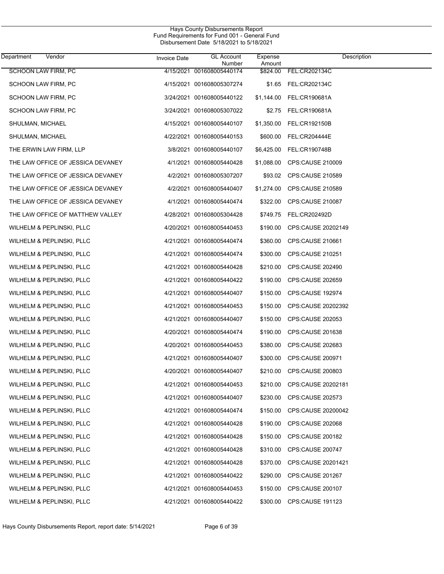| Department<br>Vendor              | <b>Invoice Date</b> | <b>GL Account</b><br>Number | Expense<br>Amount | Description             |
|-----------------------------------|---------------------|-----------------------------|-------------------|-------------------------|
| <b>SCHOON LAW FIRM, PC</b>        |                     | 4/15/2021 001608005440174   | \$824.00          | FEL:CR202134C           |
| SCHOON LAW FIRM, PC               |                     | 4/15/2021 001608005307274   |                   | \$1.65 FEL:CR202134C    |
| SCHOON LAW FIRM, PC               |                     | 3/24/2021 001608005440122   | \$1,144.00        | FEL:CR190681A           |
| SCHOON LAW FIRM, PC               |                     | 3/24/2021 001608005307022   |                   | \$2.75 FEL:CR190681A    |
| SHULMAN, MICHAEL                  |                     | 4/15/2021 001608005440107   | \$1,350.00        | FEL:CR192150B           |
| SHULMAN, MICHAEL                  |                     | 4/22/2021 001608005440153   | \$600.00          | <b>FEL:CR204444E</b>    |
| THE ERWIN LAW FIRM, LLP           |                     | 3/8/2021 001608005440107    | \$6,425.00        | FEL:CR190748B           |
| THE LAW OFFICE OF JESSICA DEVANEY |                     | 4/1/2021 001608005440428    | \$1,088.00        | CPS:CAUSE 210009        |
| THE LAW OFFICE OF JESSICA DEVANEY |                     | 4/2/2021 001608005307207    | \$93.02           | CPS:CAUSE 210589        |
| THE LAW OFFICE OF JESSICA DEVANEY |                     | 4/2/2021 001608005440407    | \$1,274.00        | CPS:CAUSE 210589        |
| THE LAW OFFICE OF JESSICA DEVANEY |                     | 4/1/2021 001608005440474    | \$322.00          | CPS:CAUSE 210087        |
| THE LAW OFFICE OF MATTHEW VALLEY  |                     | 4/28/2021 001608005304428   | \$749.75          | FEL:CR202492D           |
| WILHELM & PEPLINSKI, PLLC         |                     | 4/20/2021 001608005440453   | \$190.00          | CPS:CAUSE 20202149      |
| WILHELM & PEPLINSKI, PLLC         |                     | 4/21/2021 001608005440474   | \$360.00          | CPS:CAUSE 210661        |
| WILHELM & PEPLINSKI, PLLC         |                     | 4/21/2021 001608005440474   | \$300.00          | CPS:CAUSE 210251        |
| WILHELM & PEPLINSKI, PLLC         |                     | 4/21/2021 001608005440428   | \$210.00          | CPS:CAUSE 202490        |
| WILHELM & PEPLINSKI, PLLC         |                     | 4/21/2021 001608005440422   | \$190.00          | CPS:CAUSE 202659        |
| WILHELM & PEPLINSKI, PLLC         |                     | 4/21/2021 001608005440407   | \$150.00          | CPS:CAUSE 192974        |
| WILHELM & PEPLINSKI, PLLC         |                     | 4/21/2021 001608005440453   | \$150.00          | CPS:CAUSE 20202392      |
| WILHELM & PEPLINSKI, PLLC         |                     | 4/21/2021 001608005440407   | \$150.00          | CPS:CAUSE 202053        |
| WILHELM & PEPLINSKI, PLLC         |                     | 4/20/2021 001608005440474   | \$190.00          | <b>CPS:CAUSE 201638</b> |
| WILHELM & PEPLINSKI, PLLC         |                     | 4/20/2021 001608005440453   | \$380.00          | CPS:CAUSE 202683        |
| WILHELM & PEPLINSKI, PLLC         |                     | 4/21/2021 001608005440407   | \$300.00          | CPS:CAUSE 200971        |
| WILHELM & PEPLINSKI, PLLC         |                     | 4/20/2021 001608005440407   | \$210.00          | CPS:CAUSE 200803        |
| WILHELM & PEPLINSKI, PLLC         |                     | 4/21/2021 001608005440453   | \$210.00          | CPS:CAUSE 20202181      |
| WILHELM & PEPLINSKI, PLLC         |                     | 4/21/2021 001608005440407   | \$230.00          | <b>CPS:CAUSE 202573</b> |
| WILHELM & PEPLINSKI, PLLC         |                     | 4/21/2021 001608005440474   | \$150.00          | CPS:CAUSE 20200042      |
| WILHELM & PEPLINSKI, PLLC         |                     | 4/21/2021 001608005440428   | \$190.00          | CPS:CAUSE 202068        |
| WILHELM & PEPLINSKI, PLLC         |                     | 4/21/2021 001608005440428   | \$150.00          | CPS:CAUSE 200182        |
| WILHELM & PEPLINSKI, PLLC         |                     | 4/21/2021 001608005440428   | \$310.00          | CPS:CAUSE 200747        |
| WILHELM & PEPLINSKI, PLLC         |                     | 4/21/2021 001608005440428   | \$370.00          | CPS:CAUSE 20201421      |
| WILHELM & PEPLINSKI, PLLC         |                     | 4/21/2021 001608005440422   | \$290.00          | CPS:CAUSE 201267        |
| WILHELM & PEPLINSKI, PLLC         |                     | 4/21/2021 001608005440453   | \$150.00          | CPS:CAUSE 200107        |
| WILHELM & PEPLINSKI, PLLC         |                     | 4/21/2021 001608005440422   | \$300.00          | <b>CPS:CAUSE 191123</b> |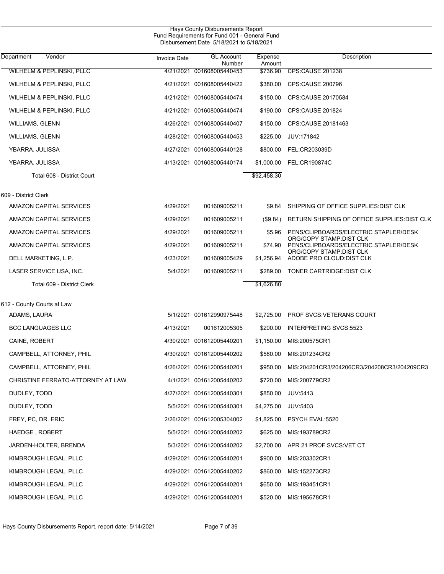| Hays County Disbursements Report<br>Fund Requirements for Fund 001 - General Fund<br>Disbursement Date 5/18/2021 to 5/18/2021 |                     |                             |                   |                                                                  |  |  |
|-------------------------------------------------------------------------------------------------------------------------------|---------------------|-----------------------------|-------------------|------------------------------------------------------------------|--|--|
| Department<br>Vendor                                                                                                          | <b>Invoice Date</b> | <b>GL Account</b><br>Number | Expense<br>Amount | Description                                                      |  |  |
| WILHELM & PEPLINSKI, PLLC                                                                                                     |                     | 4/21/2021 001608005440453   | \$736.90          | <b>CPS CAUSE 201238</b>                                          |  |  |
| WILHELM & PEPLINSKI, PLLC                                                                                                     |                     | 4/21/2021 001608005440422   | \$380.00          | <b>CPS:CAUSE 200796</b>                                          |  |  |
| WILHELM & PEPLINSKI, PLLC                                                                                                     |                     | 4/21/2021 001608005440474   | \$150.00          | CPS:CAUSE 20170584                                               |  |  |
| WILHELM & PEPLINSKI, PLLC                                                                                                     |                     | 4/21/2021 001608005440474   | \$190.00          | <b>CPS:CAUSE 201824</b>                                          |  |  |
| <b>WILLIAMS, GLENN</b>                                                                                                        |                     | 4/26/2021 001608005440407   | \$150.00          | CPS:CAUSE 20181463                                               |  |  |
| <b>WILLIAMS, GLENN</b>                                                                                                        |                     | 4/28/2021 001608005440453   | \$225.00          | JUV:171842                                                       |  |  |
| YBARRA, JULISSA                                                                                                               |                     | 4/27/2021 001608005440128   | \$800.00          | FEL:CR203039D                                                    |  |  |
| YBARRA, JULISSA                                                                                                               |                     | 4/13/2021 001608005440174   | \$1,000.00        | <b>FEL:CR190874C</b>                                             |  |  |
| Total 608 - District Court                                                                                                    |                     |                             | \$92,458.30       |                                                                  |  |  |
| 609 - District Clerk                                                                                                          |                     |                             |                   |                                                                  |  |  |
| AMAZON CAPITAL SERVICES                                                                                                       | 4/29/2021           | 001609005211                | \$9.84            | SHIPPING OF OFFICE SUPPLIES: DIST CLK                            |  |  |
| AMAZON CAPITAL SERVICES                                                                                                       | 4/29/2021           | 001609005211                | (\$9.84)          | RETURN SHIPPING OF OFFICE SUPPLIES: DIST CLK                     |  |  |
| AMAZON CAPITAL SERVICES                                                                                                       | 4/29/2021           | 001609005211                | \$5.96            | PENS/CLIPBOARDS/ELECTRIC STAPLER/DESK                            |  |  |
| AMAZON CAPITAL SERVICES                                                                                                       | 4/29/2021           | 001609005211                | \$74.90           | ORG/COPY STAMP:DIST CLK<br>PENS/CLIPBOARDS/ELECTRIC STAPLER/DESK |  |  |
| DELL MARKETING, L.P.                                                                                                          | 4/23/2021           | 001609005429                | \$1,256.94        | ORG/COPY STAMP DIST CLK<br>ADOBE PRO CLOUD: DIST CLK             |  |  |
| LASER SERVICE USA, INC.                                                                                                       | 5/4/2021            | 001609005211                | \$289.00          | TONER CARTRIDGE DIST CLK                                         |  |  |
| Total 609 - District Clerk                                                                                                    |                     |                             | \$1,626.80        |                                                                  |  |  |
| 612 - County Courts at Law                                                                                                    |                     |                             |                   |                                                                  |  |  |
| ADAMS, LAURA                                                                                                                  |                     | 5/1/2021 001612990975448    | \$2,725.00        | PROF SVCS.VETERANS COURT                                         |  |  |
| <b>BCC LANGUAGES LLC</b>                                                                                                      | 4/13/2021           | 001612005305                | \$200.00          | INTERPRETING SVCS:5523                                           |  |  |
| CAINE, ROBERT                                                                                                                 |                     | 4/30/2021 001612005440201   | \$1,150.00        | MIS:200575CR1                                                    |  |  |
| CAMPBELL, ATTORNEY, PHIL                                                                                                      |                     | 4/30/2021 001612005440202   |                   | \$580.00 MIS:201234CR2                                           |  |  |
| CAMPBELL, ATTORNEY, PHIL                                                                                                      |                     | 4/26/2021 001612005440201   | \$950.00          | MIS:204201CR3/204206CR3/204208CR3/204209CR3                      |  |  |
| CHRISTINE FERRATO-ATTORNEY AT LAW                                                                                             |                     | 4/1/2021 001612005440202    | \$720.00          | MIS:200779CR2                                                    |  |  |
| DUDLEY, TODD                                                                                                                  |                     | 4/27/2021 001612005440301   | \$850.00          | JUV:5413                                                         |  |  |
| DUDLEY, TODD                                                                                                                  |                     | 5/5/2021 001612005440301    | \$4,275.00        | JUV:5403                                                         |  |  |
| FREY, PC, DR. ERIC                                                                                                            |                     | 2/26/2021 001612005304002   |                   | \$1,825.00 PSYCH EVAL:5520                                       |  |  |
| HAEDGE, ROBERT                                                                                                                |                     | 5/5/2021 001612005440202    | \$625.00          | MIS:193789CR2                                                    |  |  |
| JARDEN-HOLTER, BRENDA                                                                                                         |                     | 5/3/2021 001612005440202    |                   | \$2,700.00 APR 21 PROF SVCS: VET CT                              |  |  |
| KIMBROUGH LEGAL, PLLC                                                                                                         |                     | 4/29/2021 001612005440201   | \$900.00          | MIS:203302CR1                                                    |  |  |
| KIMBROUGH LEGAL, PLLC                                                                                                         |                     | 4/29/2021 001612005440202   | \$860.00          | MIS:152273CR2                                                    |  |  |
| KIMBROUGH LEGAL, PLLC                                                                                                         |                     | 4/29/2021 001612005440201   | \$650.00          | MIS:193451CR1                                                    |  |  |
| KIMBROUGH LEGAL, PLLC                                                                                                         |                     | 4/29/2021 001612005440201   |                   | \$520.00 MIS:195678CR1                                           |  |  |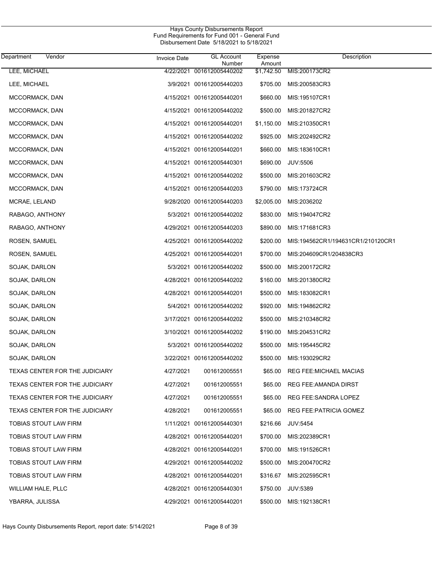| <b>Department</b><br>Vendor    | <b>Invoice Date</b> | <b>GL Account</b><br>Number | Expense<br>Amount | Description                       |
|--------------------------------|---------------------|-----------------------------|-------------------|-----------------------------------|
| LEE, MICHAEL                   |                     | 4/22/2021 001612005440202   | \$1,742.50        | MIS:200173CR2                     |
| LEE, MICHAEL                   |                     | 3/9/2021 001612005440203    | \$705.00          | MIS:200583CR3                     |
| MCCORMACK, DAN                 |                     | 4/15/2021 001612005440201   | \$660.00          | MIS:195107CR1                     |
| MCCORMACK, DAN                 |                     | 4/15/2021 001612005440202   | \$500.00          | MIS:201827CR2                     |
| MCCORMACK, DAN                 |                     | 4/15/2021 001612005440201   | \$1,150.00        | MIS:210350CR1                     |
| MCCORMACK, DAN                 |                     | 4/15/2021 001612005440202   | \$925.00          | MIS:202492CR2                     |
| MCCORMACK, DAN                 |                     | 4/15/2021 001612005440201   | \$660.00          | MIS:183610CR1                     |
| MCCORMACK, DAN                 |                     | 4/15/2021 001612005440301   | \$690.00          | <b>JUV:5506</b>                   |
| MCCORMACK, DAN                 |                     | 4/15/2021 001612005440202   | \$500.00          | MIS:201603CR2                     |
| MCCORMACK, DAN                 |                     | 4/15/2021 001612005440203   | \$790.00          | MIS:173724CR                      |
| MCRAE, LELAND                  |                     | 9/28/2020 001612005440203   | \$2,005.00        | MIS:2036202                       |
| RABAGO, ANTHONY                |                     | 5/3/2021 001612005440202    | \$830.00          | MIS:194047CR2                     |
| RABAGO, ANTHONY                |                     | 4/29/2021 001612005440203   | \$890.00          | MIS:171681CR3                     |
| ROSEN, SAMUEL                  |                     | 4/25/2021 001612005440202   | \$200.00          | MIS:194562CR1/194631CR1/210120CR1 |
| ROSEN, SAMUEL                  |                     | 4/25/2021 001612005440201   | \$700.00          | MIS:204609CR1/204838CR3           |
| SOJAK, DARLON                  |                     | 5/3/2021 001612005440202    | \$500.00          | MIS:200172CR2                     |
| SOJAK, DARLON                  |                     | 4/28/2021 001612005440202   | \$160.00          | MIS:201380CR2                     |
| SOJAK, DARLON                  |                     | 4/28/2021 001612005440201   | \$500.00          | MIS:183082CR1                     |
| SOJAK, DARLON                  |                     | 5/4/2021 001612005440202    | \$920.00          | MIS:194862CR2                     |
| SOJAK, DARLON                  |                     | 3/17/2021 001612005440202   | \$500.00          | MIS:210348CR2                     |
| SOJAK, DARLON                  |                     | 3/10/2021 001612005440202   | \$190.00          | MIS:204531CR2                     |
| SOJAK, DARLON                  |                     | 5/3/2021 001612005440202    | \$500.00          | MIS:195445CR2                     |
| SOJAK, DARLON                  |                     | 3/22/2021 001612005440202   | \$500.00          | MIS:193029CR2                     |
| TEXAS CENTER FOR THE JUDICIARY | 4/27/2021           | 001612005551                | \$65.00           | <b>REG FEE:MICHAEL MACIAS</b>     |
| TEXAS CENTER FOR THE JUDICIARY | 4/27/2021           | 001612005551                | \$65.00           | <b>REG FEE:AMANDA DIRST</b>       |
| TEXAS CENTER FOR THE JUDICIARY | 4/27/2021           | 001612005551                | \$65.00           | REG FEE:SANDRA LOPEZ              |
| TEXAS CENTER FOR THE JUDICIARY | 4/28/2021           | 001612005551                | \$65.00           | <b>REG FEE: PATRICIA GOMEZ</b>    |
| TOBIAS STOUT LAW FIRM          |                     | 1/11/2021 001612005440301   | \$216.66          | <b>JUV:5454</b>                   |
| TOBIAS STOUT LAW FIRM          |                     | 4/28/2021 001612005440201   | \$700.00          | MIS:202389CR1                     |
| TOBIAS STOUT LAW FIRM          |                     | 4/28/2021 001612005440201   | \$700.00          | MIS:191526CR1                     |
| TOBIAS STOUT LAW FIRM          |                     | 4/29/2021 001612005440202   | \$500.00          | MIS:200470CR2                     |
| TOBIAS STOUT LAW FIRM          |                     | 4/28/2021 001612005440201   | \$316.67          | MIS:202595CR1                     |
| WILLIAM HALE, PLLC             |                     | 4/28/2021 001612005440301   | \$750.00          | <b>JUV:5389</b>                   |
| YBARRA, JULISSA                |                     | 4/29/2021 001612005440201   | \$500.00          | MIS:192138CR1                     |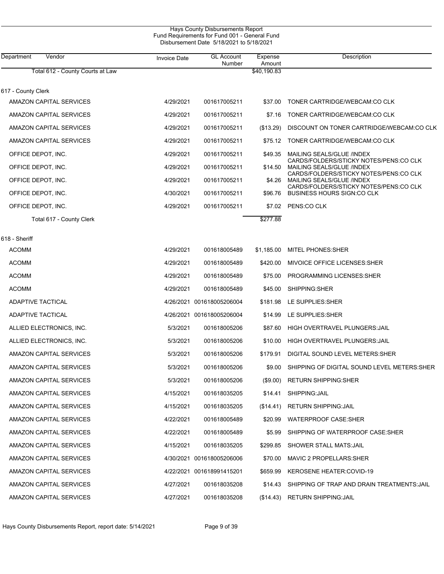| <b>Hays County Disbursements Report</b><br>Fund Requirements for Fund 001 - General Fund<br>Disbursement Date 5/18/2021 to 5/18/2021 |                     |                             |                   |                                                                              |  |  |
|--------------------------------------------------------------------------------------------------------------------------------------|---------------------|-----------------------------|-------------------|------------------------------------------------------------------------------|--|--|
| Department<br>Vendor                                                                                                                 | <b>Invoice Date</b> | <b>GL Account</b><br>Number | Expense<br>Amount | Description                                                                  |  |  |
| Total 612 - County Courts at Law                                                                                                     |                     |                             | \$40,190.83       |                                                                              |  |  |
| 617 - County Clerk                                                                                                                   |                     |                             |                   |                                                                              |  |  |
| <b>AMAZON CAPITAL SERVICES</b>                                                                                                       | 4/29/2021           | 001617005211                | \$37.00           | TONER CARTRIDGE/WEBCAM:CO CLK                                                |  |  |
| AMAZON CAPITAL SERVICES                                                                                                              | 4/29/2021           | 001617005211                | \$7.16            | TONER CARTRIDGE/WEBCAM:CO CLK                                                |  |  |
| <b>AMAZON CAPITAL SERVICES</b>                                                                                                       | 4/29/2021           | 001617005211                | (\$13.29)         | DISCOUNT ON TONER CARTRIDGE/WEBCAM:CO CLK                                    |  |  |
| AMAZON CAPITAL SERVICES                                                                                                              | 4/29/2021           | 001617005211                | \$75.12           | TONER CARTRIDGE/WEBCAM:CO CLK                                                |  |  |
| OFFICE DEPOT, INC.                                                                                                                   | 4/29/2021           | 001617005211                | \$49.35           | MAILING SEALS/GLUE /INDEX<br>CARDS/FOLDERS/STICKY NOTES/PENS:CO CLK          |  |  |
| OFFICE DEPOT, INC.                                                                                                                   | 4/29/2021           | 001617005211                |                   | \$14.50 MAILING SEALS/GLUE /INDEX                                            |  |  |
| OFFICE DEPOT, INC.                                                                                                                   | 4/29/2021           | 001617005211                |                   | CARDS/FOLDERS/STICKY NOTES/PENS:CO CLK<br>\$4.26 MAILING SEALS/GLUE /INDEX   |  |  |
| OFFICE DEPOT, INC.                                                                                                                   | 4/30/2021           | 001617005211                |                   | CARDS/FOLDERS/STICKY NOTES/PENS:CO CLK<br>\$96.76 BUSINESS HOURS SIGN:CO CLK |  |  |
| OFFICE DEPOT, INC.                                                                                                                   | 4/29/2021           | 001617005211                | \$7.02            | PENS:CO CLK                                                                  |  |  |
| Total 617 - County Clerk                                                                                                             |                     |                             | \$277.88          |                                                                              |  |  |
| 618 - Sheriff                                                                                                                        |                     |                             |                   |                                                                              |  |  |
| <b>ACOMM</b>                                                                                                                         | 4/29/2021           | 001618005489                | \$1,185.00        | <b>MITEL PHONES:SHER</b>                                                     |  |  |
| <b>ACOMM</b>                                                                                                                         | 4/29/2021           | 001618005489                | \$420.00          | MIVOICE OFFICE LICENSES: SHER                                                |  |  |
| <b>ACOMM</b>                                                                                                                         | 4/29/2021           | 001618005489                | \$75.00           | PROGRAMMING LICENSES: SHER                                                   |  |  |
| <b>ACOMM</b>                                                                                                                         | 4/29/2021           | 001618005489                | \$45.00           | SHIPPING:SHER                                                                |  |  |
| <b>ADAPTIVE TACTICAL</b>                                                                                                             |                     | 4/26/2021 001618005206004   | \$181.98          | LE SUPPLIES: SHER                                                            |  |  |
| ADAPTIVE TACTICAL                                                                                                                    |                     | 4/26/2021 001618005206004   | \$14.99           | LE SUPPLIES: SHER                                                            |  |  |
| ALLIED ELECTRONICS, INC.                                                                                                             | 5/3/2021            | 001618005206                | \$87.60           | <b>HIGH OVERTRAVEL PLUNGERS: JAIL</b>                                        |  |  |
| ALLIED ELECTRONICS, INC.                                                                                                             | 5/3/2021            | 001618005206                | \$10.00           | HIGH OVERTRAVEL PLUNGERS: JAIL                                               |  |  |
| <b>AMAZON CAPITAL SERVICES</b>                                                                                                       | 5/3/2021            | 001618005206                | \$179.91          | DIGITAL SOUND LEVEL METERS: SHER                                             |  |  |
| <b>AMAZON CAPITAL SERVICES</b>                                                                                                       | 5/3/2021            | 001618005206                | \$9.00            | SHIPPING OF DIGITAL SOUND LEVEL METERS: SHER                                 |  |  |
| AMAZON CAPITAL SERVICES                                                                                                              | 5/3/2021            | 001618005206                | $(\$9.00)$        | <b>RETURN SHIPPING: SHER</b>                                                 |  |  |
| AMAZON CAPITAL SERVICES                                                                                                              | 4/15/2021           | 001618035205                | \$14.41           | SHIPPING: JAIL                                                               |  |  |
| AMAZON CAPITAL SERVICES                                                                                                              | 4/15/2021           | 001618035205                | (S14.41)          | <b>RETURN SHIPPING: JAIL</b>                                                 |  |  |
| AMAZON CAPITAL SERVICES                                                                                                              | 4/22/2021           | 001618005489                | \$20.99           | WATERPROOF CASE:SHER                                                         |  |  |
| AMAZON CAPITAL SERVICES                                                                                                              | 4/22/2021           | 001618005489                | \$5.99            | SHIPPING OF WATERPROOF CASE:SHER                                             |  |  |
| AMAZON CAPITAL SERVICES                                                                                                              | 4/15/2021           | 001618035205                | \$299.85          | SHOWER STALL MATS:JAIL                                                       |  |  |
| AMAZON CAPITAL SERVICES                                                                                                              |                     | 4/30/2021 001618005206006   | \$70.00           | MAVIC 2 PROPELLARS: SHER                                                     |  |  |
| AMAZON CAPITAL SERVICES                                                                                                              |                     | 4/22/2021 001618991415201   | \$659.99          | <b>KEROSENE HEATER:COVID-19</b>                                              |  |  |
| <b>AMAZON CAPITAL SERVICES</b>                                                                                                       | 4/27/2021           | 001618035208                | \$14.43           | SHIPPING OF TRAP AND DRAIN TREATMENTS: JAIL                                  |  |  |
| AMAZON CAPITAL SERVICES                                                                                                              | 4/27/2021           | 001618035208                | (\$14.43)         | <b>RETURN SHIPPING: JAIL</b>                                                 |  |  |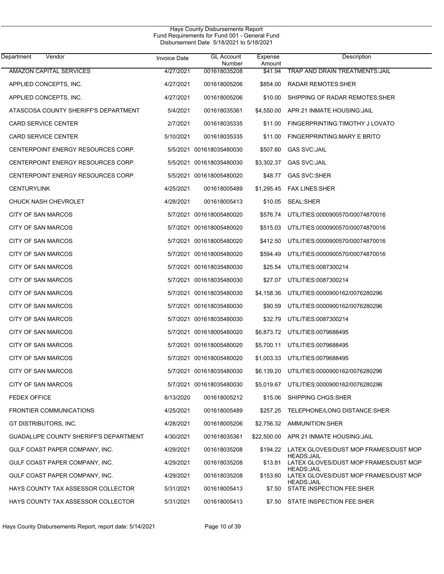| Department<br>Vendor                  | <b>Invoice Date</b> | <b>GL Account</b><br>Number | Expense<br>Amount | Description                                                |
|---------------------------------------|---------------------|-----------------------------|-------------------|------------------------------------------------------------|
| <b>AMAZON CAPITAL SERVICES</b>        | 4/27/2021           | 001618035208                | \$41.94           | <b>TRAP AND DRAIN TREATMENTS: JAIL</b>                     |
| APPLIED CONCEPTS, INC.                | 4/27/2021           | 001618005206                | \$854.00          | <b>RADAR REMOTES: SHER</b>                                 |
| APPLIED CONCEPTS, INC.                | 4/27/2021           | 001618005206                | \$10.00           | SHIPPING OF RADAR REMOTES: SHER                            |
| ATASCOSA COUNTY SHERIFF'S DEPARTMENT  | 5/4/2021            | 001618035361                | \$4,550.00        | APR 21 INMATE HOUSING: JAIL                                |
| CARD SERVICE CENTER                   | 2/7/2021            | 001618035335                | \$11.00           | FINGERPRINTING: TIMOTHY J LOVATO                           |
| <b>CARD SERVICE CENTER</b>            | 5/10/2021           | 001618035335                | \$11.00           | FINGERPRINTING: MARY E BRITO                               |
| CENTERPOINT ENERGY RESOURCES CORP.    |                     | 5/5/2021 001618035480030    | \$507.60          | <b>GAS SVC: JAIL</b>                                       |
| CENTERPOINT ENERGY RESOURCES CORP.    |                     | 5/5/2021 001618035480030    | \$3,302.37        | <b>GAS SVC: JAIL</b>                                       |
| CENTERPOINT ENERGY RESOURCES CORP.    |                     | 5/5/2021 001618005480020    | \$48.77           | <b>GAS SVC:SHER</b>                                        |
| <b>CENTURYLINK</b>                    | 4/25/2021           | 001618005489                | \$1,295.45        | <b>FAX LINES:SHER</b>                                      |
| <b>CHUCK NASH CHEVROLET</b>           | 4/28/2021           | 001618005413                | \$10.05           | SEAL:SHER                                                  |
| CITY OF SAN MARCOS                    |                     | 5/7/2021 001618005480020    | \$576.74          | UTILITIES:0000900570/00074870016                           |
| CITY OF SAN MARCOS                    |                     | 5/7/2021 001618005480020    | \$515.03          | UTILITIES:0000900570/00074870016                           |
| <b>CITY OF SAN MARCOS</b>             |                     | 5/7/2021 001618005480020    | \$412.50          | UTILITIES:0000900570/00074870016                           |
| CITY OF SAN MARCOS                    |                     | 5/7/2021 001618005480020    | \$594.49          | UTILITIES:0000900570/00074870016                           |
| CITY OF SAN MARCOS                    |                     | 5/7/2021 001618035480030    | \$25.54           | UTILITIES:0087300214                                       |
| CITY OF SAN MARCOS                    |                     | 5/7/2021 001618035480030    | \$27.07           | UTILITIES:0087300214                                       |
| <b>CITY OF SAN MARCOS</b>             |                     | 5/7/2021 001618035480030    | \$4,158.36        | UTILITIES:0000900162/0076280296                            |
| CITY OF SAN MARCOS                    |                     | 5/7/2021 001618035480030    | \$90.59           | UTILITIES:0000900162/0076280296                            |
| <b>CITY OF SAN MARCOS</b>             |                     | 5/7/2021 001618035480030    | \$32.79           | UTILITIES:0087300214                                       |
| CITY OF SAN MARCOS                    |                     | 5/7/2021 001618005480020    | \$6,873.72        | UTILITIES:0079688495                                       |
| CITY OF SAN MARCOS                    |                     | 5/7/2021 001618005480020    | \$5,700.11        | UTILITIES:0079688495                                       |
| CITY OF SAN MARCOS                    |                     | 5/7/2021 001618005480020    | \$1,003.33        | UTILITIES:0079688495                                       |
| <b>CITY OF SAN MARCOS</b>             |                     | 5/7/2021 001618035480030    | \$6,139.20        | UTILITIES:0000900162/0076280296                            |
| CITY OF SAN MARCOS                    |                     | 5/7/2021 001618035480030    |                   | \$5,019.67 UTILITIES:0000900162/0076280296                 |
| <b>FEDEX OFFICE</b>                   | 8/13/2020           | 001618005212                | \$15.06           | SHIPPING CHGS:SHER                                         |
| <b>FRONTIER COMMUNICATIONS</b>        | 4/25/2021           | 001618005489                | \$257.25          | TELEPHONE/LONG DISTANCE:SHER                               |
| GT DISTRIBUTORS, INC.                 | 4/28/2021           | 001618005206                |                   | \$2,756.32 AMMUNITION:SHER                                 |
| GUADALUPE COUNTY SHERIFF'S DEPARTMENT | 4/30/2021           | 001618035361                | \$22,500.00       | APR 21 INMATE HOUSING: JAIL                                |
| GULF COAST PAPER COMPANY, INC.        | 4/29/2021           | 001618035208                | \$194.22          | LATEX GLOVES/DUST MOP FRAMES/DUST MOP                      |
| GULF COAST PAPER COMPANY, INC.        | 4/29/2021           | 001618035208                | \$13.81           | <b>HEADS:JAIL</b><br>LATEX GLOVES/DUST MOP FRAMES/DUST MOP |
| GULF COAST PAPER COMPANY, INC.        | 4/29/2021           | 001618035208                | \$153.60          | <b>HEADS:JAIL</b><br>LATEX GLOVES/DUST MOP FRAMES/DUST MOP |
| HAYS COUNTY TAX ASSESSOR COLLECTOR    | 5/31/2021           | 001618005413                | \$7.50            | <b>HEADS:JAIL</b><br>STATE INSPECTION FEE:SHER             |
| HAYS COUNTY TAX ASSESSOR COLLECTOR    | 5/31/2021           | 001618005413                | \$7.50            | STATE INSPECTION FEE:SHER                                  |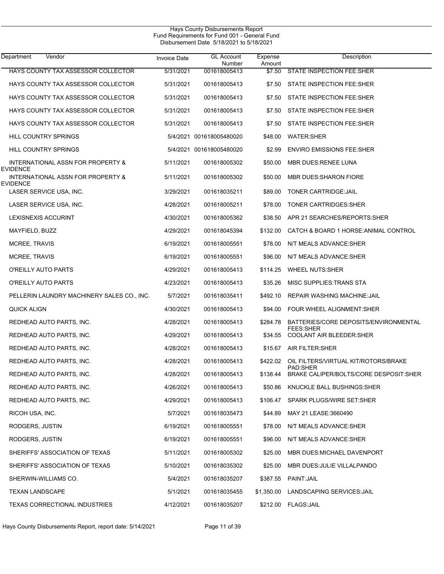| Department<br>Vendor                                 | <b>Invoice Date</b> | <b>GL Account</b><br>Number | Expense<br>Amount | Description                                               |
|------------------------------------------------------|---------------------|-----------------------------|-------------------|-----------------------------------------------------------|
| HAYS COUNTY TAX ASSESSOR COLLECTOR                   | 5/31/2021           | 001618005413                | \$7.50            | STATE INSPECTION FEE:SHER                                 |
| HAYS COUNTY TAX ASSESSOR COLLECTOR                   | 5/31/2021           | 001618005413                |                   | \$7.50 STATE INSPECTION FEE:SHER                          |
| <b>HAYS COUNTY TAX ASSESSOR COLLECTOR</b>            | 5/31/2021           | 001618005413                | \$7.50            | STATE INSPECTION FEE:SHER                                 |
| HAYS COUNTY TAX ASSESSOR COLLECTOR                   | 5/31/2021           | 001618005413                | \$7.50            | STATE INSPECTION FEE:SHER                                 |
| HAYS COUNTY TAX ASSESSOR COLLECTOR                   | 5/31/2021           | 001618005413                | \$7.50            | STATE INSPECTION FEE:SHER                                 |
| HILL COUNTRY SPRINGS                                 |                     | 5/4/2021 001618005480020    | \$48.00           | <b>WATER:SHER</b>                                         |
| HILL COUNTRY SPRINGS                                 |                     | 5/4/2021 001618005480020    | \$2.99            | <b>ENVIRO EMISSIONS FEE:SHER</b>                          |
| INTERNATIONAL ASSN FOR PROPERTY &<br><b>EVIDENCE</b> | 5/11/2021           | 001618005302                | \$50.00           | MBR DUES:RENEE LUNA                                       |
| INTERNATIONAL ASSN FOR PROPERTY &<br><b>EVIDENCE</b> | 5/11/2021           | 001618005302                | \$50.00           | <b>MBR DUES: SHARON FIORE</b>                             |
| LASER SERVICE USA, INC.                              | 3/29/2021           | 001618035211                | \$89.00           | TONER CARTRIDGE: JAIL                                     |
| LASER SERVICE USA, INC.                              | 4/28/2021           | 001618005211                | \$78.00           | TONER CARTRIDGES: SHER                                    |
| LEXISNEXIS ACCURINT                                  | 4/30/2021           | 001618005362                | \$38.50           | APR 21 SEARCHES/REPORTS: SHER                             |
| MAYFIELD, BUZZ                                       | 4/29/2021           | 001618045394                | \$132.00          | CATCH & BOARD 1 HORSE: ANIMAL CONTROL                     |
| MCREE, TRAVIS                                        | 6/19/2021           | 001618005551                | \$78.00           | N/T MEALS ADVANCE SHER                                    |
| MCREE, TRAVIS                                        | 6/19/2021           | 001618005551                | \$96.00           | N/T MEALS ADVANCE: SHER                                   |
| O'REILLY AUTO PARTS                                  | 4/29/2021           | 001618005413                | \$114.25          | <b>WHEEL NUTS:SHER</b>                                    |
| O'REILLY AUTO PARTS                                  | 4/23/2021           | 001618005413                | \$35.26           | MISC SUPPLIES TRANS STA                                   |
| PELLERIN LAUNDRY MACHINERY SALES CO., INC.           | 5/7/2021            | 001618035411                | \$492.10          | REPAIR WASHING MACHINE: JAIL                              |
| QUICK ALIGN                                          | 4/30/2021           | 001618005413                | \$94.00           | FOUR WHEEL ALIGNMENT:SHER                                 |
| REDHEAD AUTO PARTS, INC.                             | 4/28/2021           | 001618005413                | \$284.78          | BATTERIES/CORE DEPOSITS/ENVIRONMENTAL<br><b>FEES:SHER</b> |
| REDHEAD AUTO PARTS, INC.                             | 4/29/2021           | 001618005413                | \$34.55           | <b>COOLANT AIR BLEEDER:SHER</b>                           |
| REDHEAD AUTO PARTS, INC.                             | 4/28/2021           | 001618005413                | \$15.67           | AIR FILTER: SHER                                          |
| REDHEAD AUTO PARTS, INC.                             | 4/28/2021           | 001618005413                | \$422.02          | OIL FILTERS/VIRTUAL KIT/ROTORS/BRAKE<br>PAD:SHER          |
| REDHEAD AUTO PARTS, INC.                             | 4/28/2021           | 001618005413                | \$138.44          | BRAKE CALIPER/BOLTS/CORE DESPOSIT:SHER                    |
| REDHEAD AUTO PARTS, INC.                             | 4/26/2021           | 001618005413                | \$50.86           | KNUCKLE BALL BUSHINGS: SHER                               |
| REDHEAD AUTO PARTS, INC.                             | 4/29/2021           | 001618005413                | \$106.47          | SPARK PLUGS/WIRE SET:SHER                                 |
| RICOH USA, INC.                                      | 5/7/2021            | 001618035473                | \$44.89           | MAY 21 LEASE:3660490                                      |
| RODGERS, JUSTIN                                      | 6/19/2021           | 001618005551                | \$78.00           | N/T MEALS ADVANCE:SHER                                    |
| RODGERS, JUSTIN                                      | 6/19/2021           | 001618005551                | \$96.00           | N/T MEALS ADVANCE:SHER                                    |
| SHERIFFS' ASSOCIATION OF TEXAS                       | 5/11/2021           | 001618005302                | \$25.00           | MBR DUES: MICHAEL DAVENPORT                               |
| SHERIFFS' ASSOCIATION OF TEXAS                       | 5/10/2021           | 001618035302                | \$25.00           | MBR DUES: JULIE VILLALPANDO                               |
| SHERWIN-WILLIAMS CO.                                 | 5/4/2021            | 001618035207                | \$387.55          | PAINT: JAIL                                               |
| TEXAN LANDSCAPE                                      | 5/1/2021            | 001618035455                | \$1,350.00        | LANDSCAPING SERVICES: JAIL                                |
| TEXAS CORRECTIONAL INDUSTRIES                        | 4/12/2021           | 001618035207                |                   | \$212.00 FLAGS:JAIL                                       |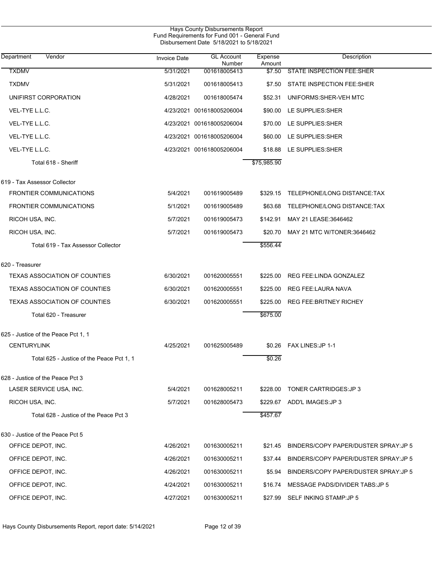|                                           |                     | Hays County Disbursements Report<br>Fund Requirements for Fund 001 - General Fund<br>Disbursement Date 5/18/2021 to 5/18/2021 |                   |                                       |
|-------------------------------------------|---------------------|-------------------------------------------------------------------------------------------------------------------------------|-------------------|---------------------------------------|
| Department<br>Vendor                      | <b>Invoice Date</b> | <b>GL Account</b><br>Number                                                                                                   | Expense<br>Amount | Description                           |
| <b>TXDMV</b>                              | 5/31/2021           | 001618005413                                                                                                                  | \$7.50            | <b>STATE INSPECTION FEE:SHER</b>      |
| <b>TXDMV</b>                              | 5/31/2021           | 001618005413                                                                                                                  | \$7.50            | STATE INSPECTION FEE:SHER             |
| UNIFIRST CORPORATION                      | 4/28/2021           | 001618005474                                                                                                                  | \$52.31           | UNIFORMS: SHER-VEH MTC                |
| VEL-TYE L.L.C.                            |                     | 4/23/2021 001618005206004                                                                                                     | \$90.00           | LE SUPPLIES: SHER                     |
| VEL-TYE L.L.C.                            |                     | 4/23/2021 001618005206004                                                                                                     | \$70.00           | LE SUPPLIES: SHER                     |
| VEL-TYE L.L.C.                            |                     | 4/23/2021 001618005206004                                                                                                     | \$60.00           | LE SUPPLIES: SHER                     |
| VEL-TYE L.L.C.                            |                     | 4/23/2021 001618005206004                                                                                                     | \$18.88           | LE SUPPLIES: SHER                     |
| Total 618 - Sheriff                       |                     |                                                                                                                               | \$75,985.90       |                                       |
| 619 - Tax Assessor Collector              |                     |                                                                                                                               |                   |                                       |
| <b>FRONTIER COMMUNICATIONS</b>            | 5/4/2021            | 001619005489                                                                                                                  | \$329.15          | TELEPHONE/LONG DISTANCE:TAX           |
| <b>FRONTIER COMMUNICATIONS</b>            | 5/1/2021            | 001619005489                                                                                                                  | \$63.68           | TELEPHONE/LONG DISTANCE:TAX           |
| RICOH USA, INC.                           | 5/7/2021            | 001619005473                                                                                                                  | \$142.91          | MAY 21 LEASE:3646462                  |
| RICOH USA, INC.                           | 5/7/2021            | 001619005473                                                                                                                  | \$20.70           | MAY 21 MTC W/TONER:3646462            |
| Total 619 - Tax Assessor Collector        |                     |                                                                                                                               | \$556.44          |                                       |
| 620 - Treasurer                           |                     |                                                                                                                               |                   |                                       |
| <b>TEXAS ASSOCIATION OF COUNTIES</b>      | 6/30/2021           | 001620005551                                                                                                                  | \$225.00          | REG FEE:LINDA GONZALEZ                |
| <b>TEXAS ASSOCIATION OF COUNTIES</b>      | 6/30/2021           | 001620005551                                                                                                                  | \$225.00          | <b>REG FEE:LAURA NAVA</b>             |
| <b>TEXAS ASSOCIATION OF COUNTIES</b>      | 6/30/2021           | 001620005551                                                                                                                  | \$225.00          | <b>REG FEE: BRITNEY RICHEY</b>        |
| Total 620 - Treasurer                     |                     |                                                                                                                               | \$675.00          |                                       |
| 625 - Justice of the Peace Pct 1, 1       |                     |                                                                                                                               |                   |                                       |
| <b>CENTURYLINK</b>                        | 4/25/2021           | 001625005489                                                                                                                  |                   | \$0.26 FAX LINES: JP 1-1              |
| Total 625 - Justice of the Peace Pct 1, 1 |                     |                                                                                                                               | \$0.26            |                                       |
| 628 - Justice of the Peace Pct 3          |                     |                                                                                                                               |                   |                                       |
| LASER SERVICE USA, INC.                   | 5/4/2021            | 001628005211                                                                                                                  | \$228.00          | TONER CARTRIDGES: JP 3                |
| RICOH USA, INC.                           | 5/7/2021            | 001628005473                                                                                                                  | \$229.67          | ADD'L IMAGES: JP 3                    |
| Total 628 - Justice of the Peace Pct 3    |                     |                                                                                                                               | \$457.67          |                                       |
| 630 - Justice of the Peace Pct 5          |                     |                                                                                                                               |                   |                                       |
| OFFICE DEPOT, INC.                        | 4/26/2021           | 001630005211                                                                                                                  | \$21.45           | BINDERS/COPY PAPER/DUSTER SPRAY: JP 5 |
| OFFICE DEPOT, INC.                        | 4/26/2021           | 001630005211                                                                                                                  | \$37.44           | BINDERS/COPY PAPER/DUSTER SPRAY: JP 5 |
| OFFICE DEPOT, INC.                        | 4/26/2021           | 001630005211                                                                                                                  | \$5.94            | BINDERS/COPY PAPER/DUSTER SPRAY: JP 5 |
| OFFICE DEPOT, INC.                        | 4/24/2021           | 001630005211                                                                                                                  | \$16.74           | MESSAGE PADS/DIVIDER TABS: JP 5       |
| OFFICE DEPOT, INC.                        | 4/27/2021           | 001630005211                                                                                                                  | \$27.99           | SELF INKING STAMP: JP 5               |

Hays County Disbursements Report, report date: 5/14/2021 Page 12 of 39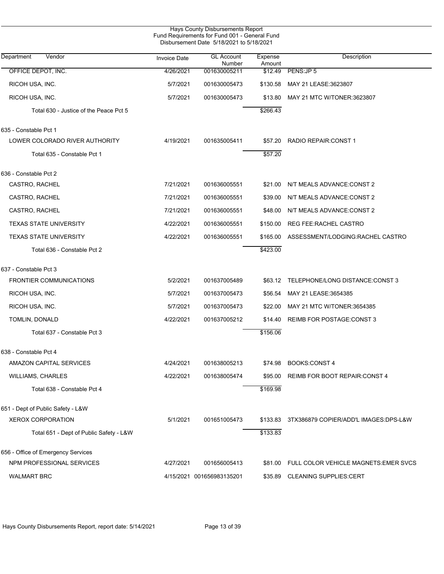|                                         |                     | Hays County Disbursements Report<br>Fund Requirements for Fund 001 - General Fund<br>Disbursement Date 5/18/2021 to 5/18/2021 |                   |                                               |
|-----------------------------------------|---------------------|-------------------------------------------------------------------------------------------------------------------------------|-------------------|-----------------------------------------------|
| Vendor<br>Department                    | <b>Invoice Date</b> | <b>GL Account</b><br>Number                                                                                                   | Expense<br>Amount | Description                                   |
| OFFICE DEPOT, INC.                      | 4/26/2021           | 001630005211                                                                                                                  | \$12.49           | PENS:JP 5                                     |
| RICOH USA, INC.                         | 5/7/2021            | 001630005473                                                                                                                  | \$130.58          | MAY 21 LEASE:3623807                          |
| RICOH USA, INC.                         | 5/7/2021            | 001630005473                                                                                                                  | \$13.80           | MAY 21 MTC W/TONER:3623807                    |
| Total 630 - Justice of the Peace Pct 5  |                     |                                                                                                                               | \$266.43          |                                               |
| 635 - Constable Pct 1                   |                     |                                                                                                                               |                   |                                               |
| LOWER COLORADO RIVER AUTHORITY          | 4/19/2021           | 001635005411                                                                                                                  | \$57.20           | RADIO REPAIR: CONST 1                         |
| Total 635 - Constable Pct 1             |                     |                                                                                                                               | \$57.20           |                                               |
| 636 - Constable Pct 2                   |                     |                                                                                                                               |                   |                                               |
| CASTRO, RACHEL                          | 7/21/2021           | 001636005551                                                                                                                  | \$21.00           | N/T MEALS ADVANCE:CONST 2                     |
| CASTRO, RACHEL                          | 7/21/2021           | 001636005551                                                                                                                  | \$39.00           | N/T MEALS ADVANCE:CONST 2                     |
| CASTRO, RACHEL                          | 7/21/2021           | 001636005551                                                                                                                  | \$48.00           | N/T MEALS ADVANCE:CONST 2                     |
| <b>TEXAS STATE UNIVERSITY</b>           | 4/22/2021           | 001636005551                                                                                                                  | \$150.00          | REG FEE:RACHEL CASTRO                         |
| <b>TEXAS STATE UNIVERSITY</b>           | 4/22/2021           | 001636005551                                                                                                                  | \$165.00          | ASSESSMENT/LODGING:RACHEL CASTRO              |
| Total 636 - Constable Pct 2             |                     |                                                                                                                               | \$423.00          |                                               |
| 637 - Constable Pct 3                   |                     |                                                                                                                               |                   |                                               |
| FRONTIER COMMUNICATIONS                 | 5/2/2021            | 001637005489                                                                                                                  | \$63.12           | TELEPHONE/LONG DISTANCE:CONST 3               |
| RICOH USA, INC.                         | 5/7/2021            | 001637005473                                                                                                                  | \$56.54           | MAY 21 LEASE:3654385                          |
| RICOH USA, INC.                         | 5/7/2021            | 001637005473                                                                                                                  | \$22.00           | MAY 21 MTC W/TONER:3654385                    |
| TOMLIN, DONALD                          | 4/22/2021           | 001637005212                                                                                                                  | \$14.40           | <b>REIMB FOR POSTAGE: CONST 3</b>             |
| Total 637 - Constable Pct 3             |                     |                                                                                                                               | \$156.06          |                                               |
| 638 - Constable Pct 4                   |                     |                                                                                                                               |                   |                                               |
| AMAZON CAPITAL SERVICES                 | 4/24/2021           | 001638005213                                                                                                                  | \$74.98           | <b>BOOKS:CONST 4</b>                          |
| <b>WILLIAMS, CHARLES</b>                | 4/22/2021           | 001638005474                                                                                                                  | \$95.00           | REIMB FOR BOOT REPAIR: CONST 4                |
| Total 638 - Constable Pct 4             |                     |                                                                                                                               | \$169.98          |                                               |
| 651 - Dept of Public Safety - L&W       |                     |                                                                                                                               |                   |                                               |
| <b>XEROX CORPORATION</b>                | 5/1/2021            | 001651005473                                                                                                                  | \$133.83          | 3TX386879 COPIER/ADD'L IMAGES:DPS-L&W         |
| Total 651 - Dept of Public Safety - L&W |                     |                                                                                                                               | \$133.83          |                                               |
| 656 - Office of Emergency Services      |                     |                                                                                                                               |                   |                                               |
| NPM PROFESSIONAL SERVICES               | 4/27/2021           | 001656005413                                                                                                                  |                   | \$81.00 FULL COLOR VEHICLE MAGNETS: EMER SVCS |
| <b>WALMART BRC</b>                      |                     | 4/15/2021 001656983135201                                                                                                     |                   | \$35.89 CLEANING SUPPLIES:CERT                |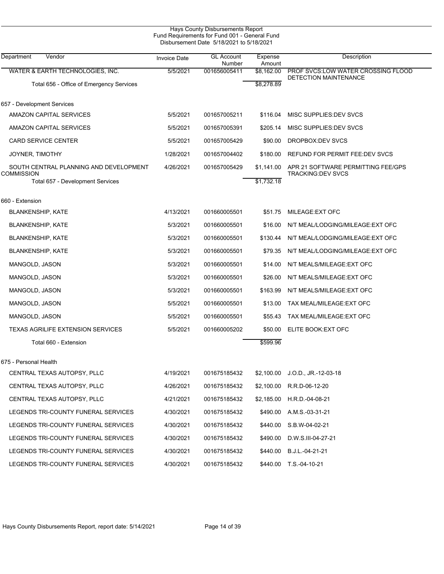| <b>Invoice Date</b>                    | <b>GL Account</b> | Expense    | Description                                                                                                                                           |
|----------------------------------------|-------------------|------------|-------------------------------------------------------------------------------------------------------------------------------------------------------|
| 5/5/2021                               | 001656005411      | \$8,162.00 | PROF SVCS LOW WATER CROSSING FLOOD                                                                                                                    |
|                                        |                   | \$8,278.89 | <b>DETECTION MAINTENANCE</b>                                                                                                                          |
|                                        |                   |            |                                                                                                                                                       |
| 5/5/2021                               | 001657005211      | \$116.04   | MISC SUPPLIES DEV SVCS                                                                                                                                |
| 5/5/2021                               | 001657005391      | \$205.14   | MISC SUPPLIES DEV SVCS                                                                                                                                |
| 5/5/2021                               | 001657005429      | \$90.00    | DROPBOX:DEV SVCS                                                                                                                                      |
| 1/28/2021                              | 001657004402      | \$180.00   | REFUND FOR PERMIT FEE:DEV SVCS                                                                                                                        |
| 4/26/2021                              | 001657005429      | \$1,141.00 | APR 21 SOFTWARE PERMITTING FEE/GPS<br><b>TRACKING DEV SVCS</b>                                                                                        |
|                                        |                   | \$1,732.18 |                                                                                                                                                       |
|                                        |                   |            |                                                                                                                                                       |
| 4/13/2021                              | 001660005501      | \$51.75    | MILEAGE: EXT OFC                                                                                                                                      |
| 5/3/2021                               | 001660005501      | \$16.00    | N/T MEAL/LODGING/MILEAGE: EXT OFC                                                                                                                     |
| 5/3/2021                               | 001660005501      | \$130.44   | N/T MEAL/LODGING/MILEAGE: EXT OFC                                                                                                                     |
| 5/3/2021                               | 001660005501      | \$79.35    | N/T MEAL/LODGING/MILEAGE: EXT OFC                                                                                                                     |
| 5/3/2021                               | 001660005501      | \$14.00    | N/T MEALS/MILEAGE: EXT OFC                                                                                                                            |
| 5/3/2021                               | 001660005501      | \$26.00    | N/T MEALS/MILEAGE: EXT OFC                                                                                                                            |
| 5/3/2021                               | 001660005501      | \$163.99   | N/T MEALS/MILEAGE: EXT OFC                                                                                                                            |
| 5/5/2021                               | 001660005501      | \$13.00    | TAX MEAL/MILEAGE: EXT OFC                                                                                                                             |
| 5/5/2021                               | 001660005501      | \$55.43    | TAX MEAL/MILEAGE: EXT OFC                                                                                                                             |
| 5/5/2021                               | 001660005202      | \$50.00    | ELITE BOOK: EXT OFC                                                                                                                                   |
|                                        |                   | \$599.96   |                                                                                                                                                       |
|                                        |                   |            |                                                                                                                                                       |
| 4/19/2021                              | 001675185432      | \$2,100.00 | $J.O.D., JR.-12-03-18$                                                                                                                                |
| 4/26/2021                              | 001675185432      |            | R.R.D-06-12-20                                                                                                                                        |
| 4/21/2021                              | 001675185432      | \$2,185.00 | H.R.D.-04-08-21                                                                                                                                       |
| 4/30/2021                              | 001675185432      | \$490.00   | A.M.S.-03-31-21                                                                                                                                       |
| 4/30/2021                              | 001675185432      | \$440.00   | S.B.W-04-02-21                                                                                                                                        |
| 4/30/2021                              | 001675185432      | \$490.00   | D.W.S.III-04-27-21                                                                                                                                    |
| 4/30/2021                              | 001675185432      | \$440.00   | B.J.L.-04-21-21                                                                                                                                       |
| 4/30/2021                              | 001675185432      |            | \$440.00 T.S.-04-10-21                                                                                                                                |
| SOUTH CENTRAL PLANNING AND DEVELOPMENT |                   | Number     | Hays County Disbursements Report<br>Fund Requirements for Fund 001 - General Fund<br>Disbursement Date 5/18/2021 to 5/18/2021<br>Amount<br>\$2,100.00 |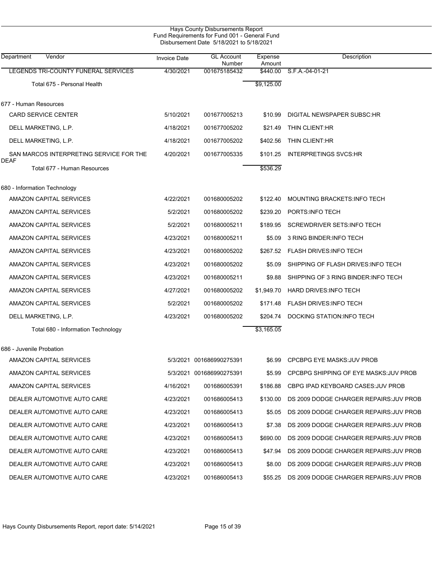|                                            |                     | Hays County Disbursements Report<br>Fund Requirements for Fund 001 - General Fund<br>Disbursement Date 5/18/2021 to 5/18/2021 |                   |                                         |
|--------------------------------------------|---------------------|-------------------------------------------------------------------------------------------------------------------------------|-------------------|-----------------------------------------|
| Department<br>Vendor                       | <b>Invoice Date</b> | <b>GL Account</b><br>Number                                                                                                   | Expense<br>Amount | Description                             |
| LEGENDS TRI-COUNTY FUNERAL SERVICES        | 4/30/2021           | 001675185432                                                                                                                  | \$440.00          | S.F.A.-04-01-21                         |
| Total 675 - Personal Health                |                     |                                                                                                                               | \$9,125.00        |                                         |
| 677 - Human Resources                      |                     |                                                                                                                               |                   |                                         |
| <b>CARD SERVICE CENTER</b>                 | 5/10/2021           | 001677005213                                                                                                                  | \$10.99           | DIGITAL NEWSPAPER SUBSC:HR              |
| DELL MARKETING, L.P.                       | 4/18/2021           | 001677005202                                                                                                                  | \$21.49           | THIN CLIENT:HR                          |
| DELL MARKETING, L.P.                       | 4/18/2021           | 001677005202                                                                                                                  | \$402.56          | THIN CLIENT:HR                          |
| SAN MARCOS INTERPRETING SERVICE FOR THE    | 4/20/2021           | 001677005335                                                                                                                  | \$101.25          | <b>INTERPRETINGS SVCS:HR</b>            |
| <b>DEAF</b><br>Total 677 - Human Resources |                     |                                                                                                                               | \$536.29          |                                         |
| 680 - Information Technology               |                     |                                                                                                                               |                   |                                         |
| AMAZON CAPITAL SERVICES                    | 4/22/2021           | 001680005202                                                                                                                  | \$122.40          | MOUNTING BRACKETS: INFO TECH            |
| AMAZON CAPITAL SERVICES                    | 5/2/2021            | 001680005202                                                                                                                  | \$239.20          | PORTS: INFO TECH                        |
| AMAZON CAPITAL SERVICES                    | 5/2/2021            | 001680005211                                                                                                                  | \$189.95          | <b>SCREWDRIVER SETS:INFO TECH</b>       |
| AMAZON CAPITAL SERVICES                    | 4/23/2021           | 001680005211                                                                                                                  | \$5.09            | 3 RING BINDER INFO TECH                 |
| AMAZON CAPITAL SERVICES                    | 4/23/2021           | 001680005202                                                                                                                  | \$267.52          | <b>FLASH DRIVES: INFO TECH</b>          |
| AMAZON CAPITAL SERVICES                    | 4/23/2021           | 001680005202                                                                                                                  | \$5.09            | SHIPPING OF FLASH DRIVES: INFO TECH     |
| AMAZON CAPITAL SERVICES                    | 4/23/2021           | 001680005211                                                                                                                  | \$9.88            | SHIPPING OF 3 RING BINDER INFO TECH     |
| AMAZON CAPITAL SERVICES                    | 4/27/2021           | 001680005202                                                                                                                  | \$1,949.70        | <b>HARD DRIVES: INFO TECH</b>           |
| AMAZON CAPITAL SERVICES                    | 5/2/2021            | 001680005202                                                                                                                  | \$171.48          | <b>FLASH DRIVES: INFO TECH</b>          |
| DELL MARKETING, L.P.                       | 4/23/2021           | 001680005202                                                                                                                  | \$204.74          | DOCKING STATION INFO TECH               |
| Total 680 - Information Technology         |                     |                                                                                                                               | \$3,165.05        |                                         |
| 686 - Juvenile Probation                   |                     |                                                                                                                               |                   |                                         |
| AMAZON CAPITAL SERVICES                    |                     | 5/3/2021 001686990275391                                                                                                      | \$6.99            | <b>CPCBPG EYE MASKS: JUV PROB</b>       |
| AMAZON CAPITAL SERVICES                    |                     | 5/3/2021 001686990275391                                                                                                      | \$5.99            | CPCBPG SHIPPING OF EYE MASKS: JUV PROB  |
| AMAZON CAPITAL SERVICES                    | 4/16/2021           | 001686005391                                                                                                                  | \$186.88          | CBPG IPAD KEYBOARD CASES: JUV PROB      |
| DEALER AUTOMOTIVE AUTO CARE                | 4/23/2021           | 001686005413                                                                                                                  | \$130.00          | DS 2009 DODGE CHARGER REPAIRS: JUV PROB |
| DEALER AUTOMOTIVE AUTO CARE                | 4/23/2021           | 001686005413                                                                                                                  | \$5.05            | DS 2009 DODGE CHARGER REPAIRS: JUV PROB |
| DEALER AUTOMOTIVE AUTO CARE                | 4/23/2021           | 001686005413                                                                                                                  | \$7.38            | DS 2009 DODGE CHARGER REPAIRS: JUV PROB |
| DEALER AUTOMOTIVE AUTO CARE                | 4/23/2021           | 001686005413                                                                                                                  | \$690.00          | DS 2009 DODGE CHARGER REPAIRS: JUV PROB |
| DEALER AUTOMOTIVE AUTO CARE                | 4/23/2021           | 001686005413                                                                                                                  | \$47.94           | DS 2009 DODGE CHARGER REPAIRS: JUV PROB |
| DEALER AUTOMOTIVE AUTO CARE                | 4/23/2021           | 001686005413                                                                                                                  | \$8.00            | DS 2009 DODGE CHARGER REPAIRS: JUV PROB |
| DEALER AUTOMOTIVE AUTO CARE                | 4/23/2021           | 001686005413                                                                                                                  | \$55.25           | DS 2009 DODGE CHARGER REPAIRS: JUV PROB |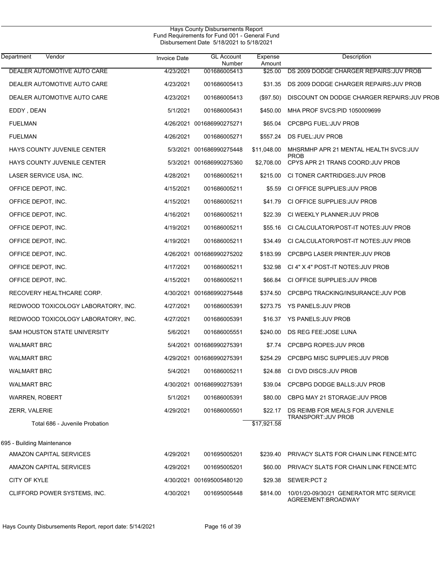| Department<br>Vendor                | <b>Invoice Date</b> | <b>GL Account</b><br>Number | Expense<br>Amount | Description                                                   |
|-------------------------------------|---------------------|-----------------------------|-------------------|---------------------------------------------------------------|
| DEALER AUTOMOTIVE AUTO CARE         | 4/23/2021           | 001686005413                | \$25.00           | DS 2009 DODGE CHARGER REPAIRS: JUV PROB                       |
| DEALER AUTOMOTIVE AUTO CARE         | 4/23/2021           | 001686005413                | \$31.35           | DS 2009 DODGE CHARGER REPAIRS: JUV PROB                       |
| DEALER AUTOMOTIVE AUTO CARE         | 4/23/2021           | 001686005413                | (\$97.50)         | DISCOUNT ON DODGE CHARGER REPAIRS: JUV PROB                   |
| EDDY, DEAN                          | 5/1/2021            | 001686005431                | \$450.00          | MHA PROF SVCS: PID 1050009699                                 |
| <b>FUELMAN</b>                      |                     | 4/26/2021 001686990275271   | \$65.04           | CPCBPG FUEL: JUV PROB                                         |
| <b>FUELMAN</b>                      | 4/26/2021           | 001686005271                | \$557.24          | DS FUEL:JUV PROB                                              |
| HAYS COUNTY JUVENILE CENTER         |                     | 5/3/2021 001686990275448    | \$11,048.00       | MHSRMHP APR 21 MENTAL HEALTH SVCS: JUV                        |
| HAYS COUNTY JUVENILE CENTER         |                     | 5/3/2021 001686990275360    | \$2,708.00        | <b>PROB</b><br>CPYS APR 21 TRANS COORD: JUV PROB              |
| LASER SERVICE USA, INC.             | 4/28/2021           | 001686005211                | \$215.00          | CI TONER CARTRIDGES: JUV PROB                                 |
| OFFICE DEPOT, INC.                  | 4/15/2021           | 001686005211                | \$5.59            | CI OFFICE SUPPLIES: JUV PROB                                  |
| OFFICE DEPOT, INC.                  | 4/15/2021           | 001686005211                | \$41.79           | CI OFFICE SUPPLIES: JUV PROB                                  |
| OFFICE DEPOT, INC.                  | 4/16/2021           | 001686005211                | \$22.39           | CI WEEKLY PLANNER: JUV PROB                                   |
| OFFICE DEPOT, INC.                  | 4/19/2021           | 001686005211                | \$55.16           | CI CALCULATOR/POST-IT NOTES: JUV PROB                         |
| OFFICE DEPOT, INC.                  | 4/19/2021           | 001686005211                | \$34.49           | CI CALCULATOR/POST-IT NOTES: JUV PROB                         |
| OFFICE DEPOT, INC.                  |                     | 4/26/2021 001686990275202   | \$183.99          | <b>CPCBPG LASER PRINTER: JUV PROB</b>                         |
| OFFICE DEPOT, INC.                  | 4/17/2021           | 001686005211                | \$32.98           | CI 4" X 4" POST-IT NOTES: JUV PROB                            |
| OFFICE DEPOT, INC.                  | 4/15/2021           | 001686005211                | \$66.84           | CI OFFICE SUPPLIES: JUV PROB                                  |
| RECOVERY HEALTHCARE CORP.           |                     | 4/30/2021 001686990275448   | \$374.50          | CPCBPG TRACKING/INSURANCE: JUV POB                            |
| REDWOOD TOXICOLOGY LABORATORY, INC. | 4/27/2021           | 001686005391                | \$273.75          | <b>YS PANELS: JUV PROB</b>                                    |
| REDWOOD TOXICOLOGY LABORATORY, INC. | 4/27/2021           | 001686005391                | \$16.37           | <b>YS PANELS: JUV PROB</b>                                    |
| SAM HOUSTON STATE UNIVERSITY        | 5/6/2021            | 001686005551                | \$240.00          | DS REG FEE: JOSE LUNA                                         |
| <b>WALMART BRC</b>                  |                     | 5/4/2021 001686990275391    | \$7.74            | CPCBPG ROPES: JUV PROB                                        |
| <b>WALMART BRC</b>                  |                     | 4/29/2021 001686990275391   | \$254.29          | <b>CPCBPG MISC SUPPLIES: JUV PROB</b>                         |
| <b>WALMART BRC</b>                  | 5/4/2021            | 001686005211                | \$24.88           | CI DVD DISCS: JUV PROB                                        |
| <b>WALMART BRC</b>                  |                     | 4/30/2021 001686990275391   | \$39.04           | CPCBPG DODGE BALLS: JUV PROB                                  |
| <b>WARREN, ROBERT</b>               | 5/1/2021            | 001686005391                | \$80.00           | CBPG MAY 21 STORAGE: JUV PROB                                 |
| ZERR, VALERIE                       | 4/29/2021           | 001686005501                | \$22.17           | DS REIMB FOR MEALS FOR JUVENILE                               |
| Total 686 - Juvenile Probation      |                     |                             | \$17,921.58       | TRANSPORT: JUV PROB                                           |
| 695 - Building Maintenance          |                     |                             |                   |                                                               |
| AMAZON CAPITAL SERVICES             | 4/29/2021           | 001695005201                | \$239.40          | PRIVACY SLATS FOR CHAIN LINK FENCE MTC                        |
| AMAZON CAPITAL SERVICES             | 4/29/2021           | 001695005201                | \$60.00           | PRIVACY SLATS FOR CHAIN LINK FENCE MTC                        |
| CITY OF KYLE                        |                     | 4/30/2021 001695005480120   | \$29.38           | SEWER:PCT 2                                                   |
| CLIFFORD POWER SYSTEMS, INC.        | 4/30/2021           | 001695005448                | \$814.00          | 10/01/20-09/30/21 GENERATOR MTC SERVICE<br>AGREEMENT:BROADWAY |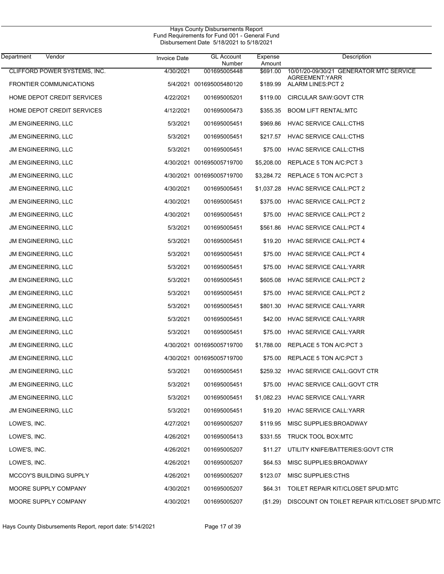| Department<br>Vendor           | <b>Invoice Date</b> | <b>GL Account</b><br>Number | Expense<br>Amount | Description                                    |
|--------------------------------|---------------------|-----------------------------|-------------------|------------------------------------------------|
| CLIFFORD POWER SYSTEMS, INC.   | 4/30/2021           | 001695005448                | \$691.00          | 10/01/20-09/30/21 GENERATOR MTC SERVICE        |
| <b>FRONTIER COMMUNICATIONS</b> |                     | 5/4/2021 001695005480120    | \$189.99          | AGREEMENT: YARR<br>ALARM LINES: PCT 2          |
| HOME DEPOT CREDIT SERVICES     | 4/22/2021           | 001695005201                | \$119.00          | CIRCULAR SAW: GOVT CTR                         |
| HOME DEPOT CREDIT SERVICES     | 4/12/2021           | 001695005473                | \$355.35          | <b>BOOM LIFT RENTAL:MTC</b>                    |
| JM ENGINEERING, LLC            | 5/3/2021            | 001695005451                | \$969.86          | <b>HVAC SERVICE CALL:CTHS</b>                  |
| JM ENGINEERING, LLC            | 5/3/2021            | 001695005451                | \$217.57          | <b>HVAC SERVICE CALL:CTHS</b>                  |
| JM ENGINEERING, LLC            | 5/3/2021            | 001695005451                | \$75.00           | HVAC SERVICE CALL:CTHS                         |
| JM ENGINEERING, LLC            |                     | 4/30/2021 001695005719700   | \$5,208.00        | REPLACE 5 TON A/C:PCT 3                        |
| <b>JM ENGINEERING, LLC</b>     | 4/30/2021           | 001695005719700             | \$3,284.72        | REPLACE 5 TON A/C:PCT 3                        |
| JM ENGINEERING, LLC            | 4/30/2021           | 001695005451                | \$1,037.28        | <b>HVAC SERVICE CALL:PCT 2</b>                 |
| JM ENGINEERING, LLC            | 4/30/2021           | 001695005451                | \$375.00          | <b>HVAC SERVICE CALL:PCT 2</b>                 |
| JM ENGINEERING, LLC            | 4/30/2021           | 001695005451                | \$75.00           | HVAC SERVICE CALL: PCT 2                       |
| JM ENGINEERING, LLC            | 5/3/2021            | 001695005451                | \$561.86          | <b>HVAC SERVICE CALL: PCT 4</b>                |
| JM ENGINEERING, LLC            | 5/3/2021            | 001695005451                | \$19.20           | <b>HVAC SERVICE CALL: PCT 4</b>                |
| <b>JM ENGINEERING, LLC</b>     | 5/3/2021            | 001695005451                | \$75.00           | <b>HVAC SERVICE CALL: PCT 4</b>                |
| JM ENGINEERING, LLC            | 5/3/2021            | 001695005451                | \$75.00           | <b>HVAC SERVICE CALL: YARR</b>                 |
| JM ENGINEERING, LLC            | 5/3/2021            | 001695005451                | \$605.08          | HVAC SERVICE CALL: PCT 2                       |
| JM ENGINEERING, LLC            | 5/3/2021            | 001695005451                | \$75.00           | HVAC SERVICE CALL: PCT 2                       |
| JM ENGINEERING, LLC            | 5/3/2021            | 001695005451                | \$801.30          | <b>HVAC SERVICE CALL: YARR</b>                 |
| JM ENGINEERING, LLC            | 5/3/2021            | 001695005451                | \$42.00           | HVAC SERVICE CALL: YARR                        |
| JM ENGINEERING, LLC            | 5/3/2021            | 001695005451                | \$75.00           | <b>HVAC SERVICE CALL: YARR</b>                 |
| JM ENGINEERING, LLC            |                     | 4/30/2021 001695005719700   | \$1,788.00        | REPLACE 5 TON A/C:PCT 3                        |
| <b>JM ENGINEERING, LLC</b>     |                     | 4/30/2021 001695005719700   | \$75.00           | REPLACE 5 TON A/C: PCT 3                       |
| <b>JM ENGINEERING, LLC</b>     | 5/3/2021            | 001695005451                | \$259.32          | HVAC SERVICE CALL: GOVT CTR                    |
| JM ENGINEERING, LLC            | 5/3/2021            | 001695005451                | \$75.00           | HVAC SERVICE CALL: GOVT CTR                    |
| JM ENGINEERING, LLC            | 5/3/2021            | 001695005451                | \$1,082.23        | <b>HVAC SERVICE CALL: YARR</b>                 |
| JM ENGINEERING, LLC            | 5/3/2021            | 001695005451                | \$19.20           | <b>HVAC SERVICE CALL: YARR</b>                 |
| LOWE'S, INC.                   | 4/27/2021           | 001695005207                | \$119.95          | MISC SUPPLIES: BROADWAY                        |
| LOWE'S, INC.                   | 4/26/2021           | 001695005413                | \$331.55          | TRUCK TOOL BOX:MTC                             |
| LOWE'S, INC.                   | 4/26/2021           | 001695005207                | \$11.27           | UTILITY KNIFE/BATTERIES: GOVT CTR              |
| LOWE'S, INC.                   | 4/26/2021           | 001695005207                | \$64.53           | MISC SUPPLIES: BROADWAY                        |
| MCCOY'S BUILDING SUPPLY        | 4/26/2021           | 001695005207                | \$123.07          | MISC SUPPLIES:CTHS                             |
| MOORE SUPPLY COMPANY           | 4/30/2021           | 001695005207                | \$64.31           | TOILET REPAIR KIT/CLOSET SPUD:MTC              |
| MOORE SUPPLY COMPANY           | 4/30/2021           | 001695005207                | (\$1.29)          | DISCOUNT ON TOILET REPAIR KIT/CLOSET SPUD: MTC |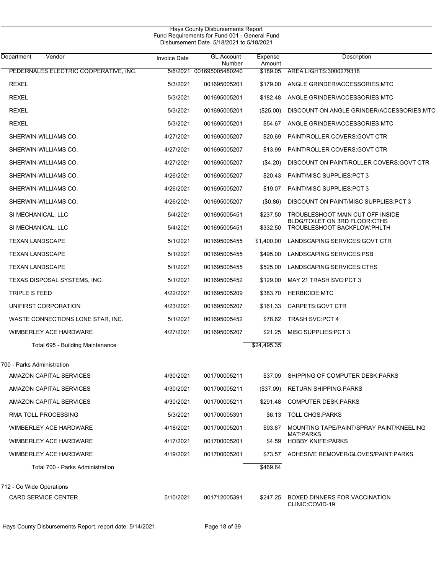| Hays County Disbursements Report              |  |
|-----------------------------------------------|--|
| Fund Requirements for Fund 001 - General Fund |  |
| Disbursement Date 5/18/2021 to 5/18/2021      |  |

| Department<br>Vendor                  | <b>Invoice Date</b> | <b>GL Account</b><br>Number | Expense<br>Amount | Description                                                          |
|---------------------------------------|---------------------|-----------------------------|-------------------|----------------------------------------------------------------------|
| PEDERNALES ELECTRIC COOPERATIVE, INC. |                     | 5/6/2021 001695005480240    | \$189.05          | AREA LIGHTS:3000279318                                               |
| <b>REXEL</b>                          | 5/3/2021            | 001695005201                | \$179.00          | ANGLE GRINDER/ACCESSORIES:MTC                                        |
| <b>REXEL</b>                          | 5/3/2021            | 001695005201                | \$182.48          | ANGLE GRINDER/ACCESSORIES:MTC                                        |
| <b>REXEL</b>                          | 5/3/2021            | 001695005201                | $(\$25.00)$       | DISCOUNT ON ANGLE GRINDER/ACCESSORIES:MTC                            |
| <b>REXEL</b>                          | 5/3/2021            | 001695005201                | \$54.67           | ANGLE GRINDER/ACCESSORIES.MTC                                        |
| SHERWIN-WILLIAMS CO.                  | 4/27/2021           | 001695005207                | \$20.69           | PAINT/ROLLER COVERS: GOVT CTR                                        |
| SHERWIN-WILLIAMS CO.                  | 4/27/2021           | 001695005207                | \$13.99           | PAINT/ROLLER COVERS: GOVT CTR                                        |
| SHERWIN-WILLIAMS CO.                  | 4/27/2021           | 001695005207                | (\$4.20)          | DISCOUNT ON PAINT/ROLLER COVERS: GOVT CTR                            |
| SHERWIN-WILLIAMS CO.                  | 4/26/2021           | 001695005207                | \$20.43           | <b>PAINT/MISC SUPPLIES:PCT 3</b>                                     |
| SHERWIN-WILLIAMS CO.                  | 4/26/2021           | 001695005207                | \$19.07           | <b>PAINT/MISC SUPPLIES:PCT 3</b>                                     |
| SHERWIN-WILLIAMS CO.                  | 4/26/2021           | 001695005207                | (\$0.86)          | DISCOUNT ON PAINT/MISC SUPPLIES: PCT 3                               |
| SI MECHANICAL, LLC                    | 5/4/2021            | 001695005451                | \$237.50          | TROUBLESHOOT MAIN CUT OFF INSIDE                                     |
| SI MECHANICAL, LLC                    | 5/4/2021            | 001695005451                | \$332.50          | BLDG/TOILET ON 3RD FLOOR:CTHS<br>TROUBLESHOOT BACKFLOW:PHLTH         |
| <b>TEXAN LANDSCAPE</b>                | 5/1/2021            | 001695005455                | \$1,400.00        | LANDSCAPING SERVICES: GOVT CTR                                       |
| <b>TEXAN LANDSCAPE</b>                | 5/1/2021            | 001695005455                | \$495.00          | LANDSCAPING SERVICES: PSB                                            |
| <b>TEXAN LANDSCAPE</b>                | 5/1/2021            | 001695005455                | \$525.00          | LANDSCAPING SERVICES CTHS                                            |
| TEXAS DISPOSAL SYSTEMS, INC.          | 5/1/2021            | 001695005452                | \$129.00          | MAY 21 TRASH SVC:PCT 3                                               |
| TRIPLE S FEED                         | 4/22/2021           | 001695005209                | \$383.70          | <b>HERBICIDE:MTC</b>                                                 |
| UNIFIRST CORPORATION                  | 4/23/2021           | 001695005207                | \$161.33          | CARPETS: GOVT CTR                                                    |
| WASTE CONNECTIONS LONE STAR, INC.     | 5/1/2021            | 001695005452                | \$78.62           | <b>TRASH SVC:PCT 4</b>                                               |
| WIMBERLEY ACE HARDWARE                | 4/27/2021           | 001695005207                | \$21.25           | MISC SUPPLIES: PCT 3                                                 |
| Total 695 - Building Maintenance      |                     |                             | \$24,495.35       |                                                                      |
| 700 - Parks Administration            |                     |                             |                   |                                                                      |
| AMAZON CAPITAL SERVICES               | 4/30/2021           | 001700005211                |                   | \$37.09 SHIPPING OF COMPUTER DESK:PARKS                              |
| AMAZON CAPITAL SERVICES               | 4/30/2021           | 001700005211                |                   | (\$37.09) RETURN SHIPPING:PARKS                                      |
| AMAZON CAPITAL SERVICES               | 4/30/2021           | 001700005211                |                   | \$291.48 COMPUTER DESK PARKS                                         |
| RMA TOLL PROCESSING                   | 5/3/2021            | 001700005391                |                   | \$6.13 TOLL CHGS PARKS                                               |
| WIMBERLEY ACE HARDWARE                | 4/18/2021           | 001700005201                |                   | \$93.87 MOUNTING TAPE/PAINT/SPRAY PAINT/KNEELING<br><b>MAT:PARKS</b> |
| WIMBERLEY ACE HARDWARE                | 4/17/2021           | 001700005201                |                   | \$4.59 HOBBY KNIFE:PARKS                                             |
| WIMBERLEY ACE HARDWARE                | 4/19/2021           | 001700005201                |                   | \$73.57 ADHESIVE REMOVER/GLOVES/PAINT:PARKS                          |
| Total 700 - Parks Administration      |                     |                             | \$469.64          |                                                                      |
| 712 - Co Wide Operations              |                     |                             |                   |                                                                      |
| CARD SERVICE CENTER                   | 5/10/2021           | 001712005391                |                   | \$247.25 BOXED DINNERS FOR VACCINATION<br>CLINIC:COVID-19            |

Hays County Disbursements Report, report date: 5/14/2021 Page 18 of 39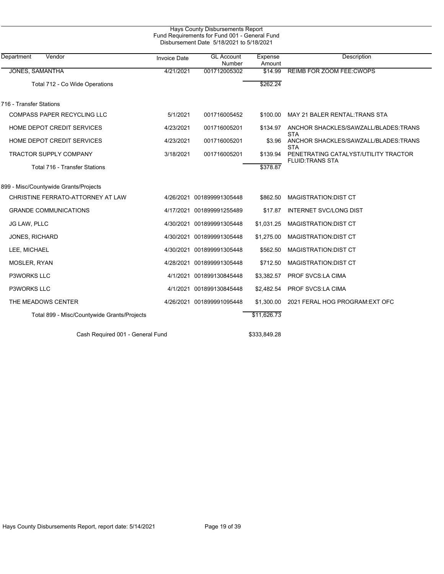| Department<br>Vendor                        | <b>Invoice Date</b> | <b>GL Account</b><br>Number | Expense<br>Amount | Description                                                    |
|---------------------------------------------|---------------------|-----------------------------|-------------------|----------------------------------------------------------------|
| <b>JONES, SAMANTHA</b>                      | 4/21/2021           | 001712005302                | \$14.99           | <b>REIMB FOR ZOOM FEE: CWOPS</b>                               |
| Total 712 - Co Wide Operations              |                     |                             | \$262.24          |                                                                |
| 716 - Transfer Stations                     |                     |                             |                   |                                                                |
| <b>COMPASS PAPER RECYCLING LLC</b>          | 5/1/2021            | 001716005452                | \$100.00          | MAY 21 BALER RENTAL TRANS STA                                  |
| HOME DEPOT CREDIT SERVICES                  | 4/23/2021           | 001716005201                | \$134.97          | ANCHOR SHACKLES/SAWZALL/BLADES:TRANS<br>STA                    |
| HOME DEPOT CREDIT SERVICES                  | 4/23/2021           | 001716005201                | \$3.96            | ANCHOR SHACKLES/SAWZALL/BLADES.TRANS<br>STA                    |
| <b>TRACTOR SUPPLY COMPANY</b>               | 3/18/2021           | 001716005201                | \$139.94          | PENETRATING CATALYST/UTILITY TRACTOR<br><b>FLUID:TRANS STA</b> |
| Total 716 - Transfer Stations               |                     |                             | \$378.87          |                                                                |
| 899 - Misc/Countywide Grants/Projects       |                     |                             |                   |                                                                |
| CHRISTINE FERRATO-ATTORNEY AT LAW           |                     | 4/26/2021 001899991305448   | \$862.50          | <b>MAGISTRATION:DIST CT</b>                                    |
| <b>GRANDE COMMUNICATIONS</b>                |                     | 4/17/2021 001899991255489   | \$17.87           | <b>INTERNET SVC/LONG DIST</b>                                  |
| JG LAW, PLLC                                |                     | 4/30/2021 001899991305448   | \$1,031.25        | <b>MAGISTRATION: DIST CT</b>                                   |
| JONES, RICHARD                              |                     | 4/30/2021 001899991305448   | \$1,275.00        | <b>MAGISTRATION:DIST CT</b>                                    |
| LEE, MICHAEL                                |                     | 4/30/2021 001899991305448   | \$562.50          | <b>MAGISTRATION:DIST CT</b>                                    |
| MOSLER, RYAN                                |                     | 4/28/2021 001899991305448   | \$712.50          | <b>MAGISTRATION:DIST CT</b>                                    |
| <b>P3WORKS LLC</b>                          |                     | 4/1/2021 001899130845448    | \$3,382.57        | PROF SVCS:LA CIMA                                              |
| <b>P3WORKS LLC</b>                          |                     | 4/1/2021 001899130845448    | \$2,482.54        | PROF SVCS LA CIMA                                              |
| THE MEADOWS CENTER                          |                     | 4/26/2021 001899991095448   | \$1,300.00        | 2021 FERAL HOG PROGRAM: EXT OFC                                |
| Total 899 - Misc/Countywide Grants/Projects |                     |                             | \$11,626.73       |                                                                |

Cash Required 001 - General Fund \$333,849.28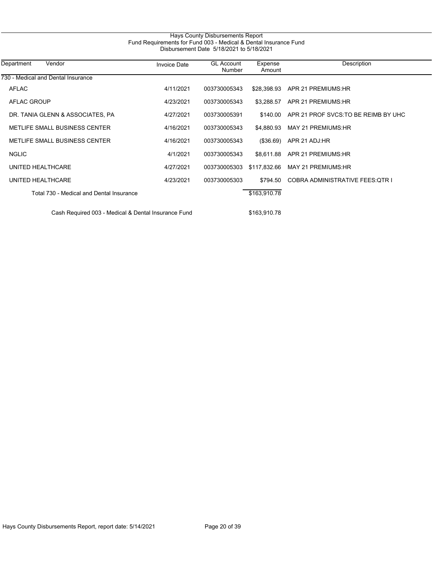| 730 - Medical and Dental Insurance<br><b>AFLAC</b> | 4/11/2021 |              |              |                                      |
|----------------------------------------------------|-----------|--------------|--------------|--------------------------------------|
|                                                    |           |              |              |                                      |
|                                                    |           | 003730005343 | \$28,398.93  | APR 21 PREMIUMS:HR                   |
| AFLAC GROUP                                        | 4/23/2021 | 003730005343 | \$3.288.57   | APR 21 PREMIUMS:HR                   |
| DR. TANIA GLENN & ASSOCIATES, PA                   | 4/27/2021 | 003730005391 | \$140.00     | APR 21 PROF SVCS. TO BE REIMB BY UHC |
| METLIFE SMALL BUSINESS CENTER                      | 4/16/2021 | 003730005343 | \$4,880.93   | MAY 21 PREMIUMS:HR                   |
| METLIFE SMALL BUSINESS CENTER                      | 4/16/2021 | 003730005343 | (\$36.69)    | APR 21 ADJ:HR                        |
| <b>NGLIC</b>                                       | 4/1/2021  | 003730005343 | \$8,611.88   | APR 21 PREMIUMS:HR                   |
| UNITED HEALTHCARE                                  | 4/27/2021 | 003730005303 | \$117,832.66 | MAY 21 PREMIUMS: HR                  |
| UNITED HEALTHCARE                                  | 4/23/2021 | 003730005303 | \$794.50     | COBRA ADMINISTRATIVE FEES OTR I      |
| Total 730 - Medical and Dental Insurance           |           |              | \$163,910.78 |                                      |

Hays County Disbursements Report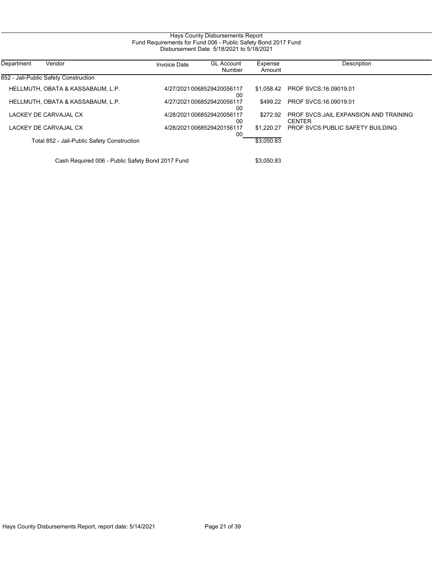# Hays County Disbursements Report Fund Requirements for Fund 006 - Public Safety Bond 2017 Fund Disbursement Date 5/18/2021 to 5/18/2021

| Vendor<br>Department                  |                                             | <b>Invoice Date</b> | <b>GL Account</b><br>Number     | Expense<br>Amount | Description                                             |
|---------------------------------------|---------------------------------------------|---------------------|---------------------------------|-------------------|---------------------------------------------------------|
| 852 - Jail-Public Safety Construction |                                             |                     |                                 |                   |                                                         |
| HELLMUTH. OBATA & KASSABAUM. L.P.     |                                             |                     | 4/27/20210068529420056117<br>00 |                   | \$1.058.42 PROF SVCS:16.09019.01                        |
| HELLMUTH. OBATA & KASSABAUM. L.P.     |                                             |                     | 4/27/20210068529420056117<br>00 | \$499.22          | PROF SVCS: 16,09019.01                                  |
| LACKEY DE CARVAJAL CX                 |                                             |                     | 4/28/20210068529420056117<br>00 | \$272.92          | PROF SVCS: JAIL EXPANSION AND TRAINING<br><b>CENTER</b> |
| LACKEY DE CARVAJAL CX                 |                                             |                     | 4/28/20210068529420156117<br>00 | \$1.220.27        | <b>PROF SVCS: PUBLIC SAFETY BUILDING</b>                |
|                                       | Total 852 - Jail-Public Safety Construction |                     |                                 | \$3,050.83        |                                                         |

Cash Required 006 - Public Safety Bond 2017 Fund \$3,050.83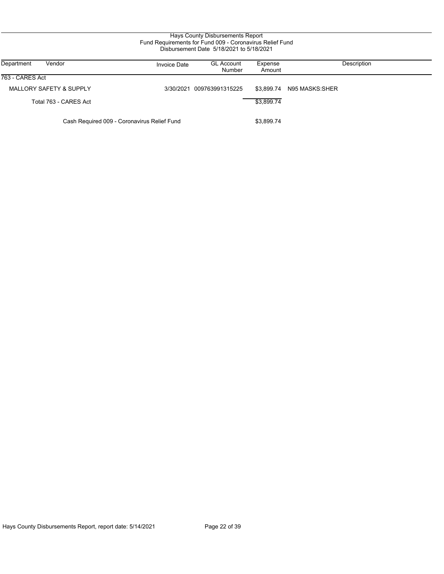| Vendor<br>Department                        | Invoice Date | <b>GL Account</b><br>Number | Expense<br>Amount | Description    |
|---------------------------------------------|--------------|-----------------------------|-------------------|----------------|
| 763 - CARES Act                             |              |                             |                   |                |
| <b>MALLORY SAFETY &amp; SUPPLY</b>          |              | 3/30/2021 009763991315225   | \$3.899.74        | N95 MASKS:SHER |
| Total 763 - CARES Act                       |              |                             | \$3.899.74        |                |
| Cash Required 009 - Coronavirus Relief Fund |              |                             | \$3,899.74        |                |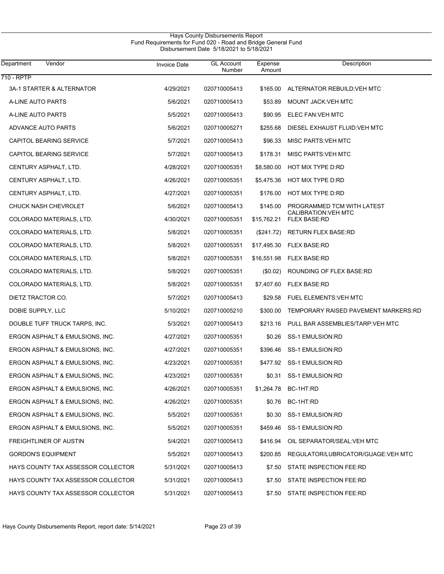| Department<br>Vendor               | <b>Invoice Date</b> | <b>GL Account</b><br>Number | Expense<br>Amount | Description                                              |
|------------------------------------|---------------------|-----------------------------|-------------------|----------------------------------------------------------|
| 710 - RPTP                         |                     |                             |                   |                                                          |
| 3A-1 STARTER & ALTERNATOR          | 4/29/2021           | 020710005413                | \$165.00          | ALTERNATOR REBUILD: VEH MTC                              |
| A-LINE AUTO PARTS                  | 5/6/2021            | 020710005413                | \$53.89           | MOUNT JACK: VEH MTC                                      |
| A-LINE AUTO PARTS                  | 5/5/2021            | 020710005413                | \$90.95           | ELEC FAN: VEH MTC                                        |
| ADVANCE AUTO PARTS                 | 5/6/2021            | 020710005271                | \$255.68          | DIESEL EXHAUST FLUID: VEH MTC                            |
| CAPITOL BEARING SERVICE            | 5/7/2021            | 020710005413                | \$96.33           | <b>MISC PARTS: VEH MTC</b>                               |
| CAPITOL BEARING SERVICE            | 5/7/2021            | 020710005413                | \$178.31          | <b>MISC PARTS: VEH MTC</b>                               |
| CENTURY ASPHALT, LTD.              | 4/28/2021           | 020710005351                | \$8,580.00        | HOT MIX TYPE D:RD                                        |
| CENTURY ASPHALT, LTD.              | 4/26/2021           | 020710005351                | \$5,475.36        | HOT MIX TYPE D:RD                                        |
| CENTURY ASPHALT, LTD.              | 4/27/2021           | 020710005351                | \$176.00          | HOT MIX TYPE D:RD                                        |
| <b>CHUCK NASH CHEVROLET</b>        | 5/6/2021            | 020710005413                | \$145.00          | PROGRAMMED TCM WITH LATEST<br><b>CALIBRATION:VEH MTC</b> |
| COLORADO MATERIALS, LTD.           | 4/30/2021           | 020710005351                | \$15,762.21       | <b>FLEX BASE:RD</b>                                      |
| COLORADO MATERIALS, LTD.           | 5/8/2021            | 020710005351                | $(\$241.72)$      | <b>RETURN FLEX BASE:RD</b>                               |
| COLORADO MATERIALS, LTD.           | 5/8/2021            | 020710005351                | \$17,495.30       | <b>FLEX BASE:RD</b>                                      |
| COLORADO MATERIALS, LTD.           | 5/8/2021            | 020710005351                | \$16,551.98       | FLEX BASE:RD                                             |
| COLORADO MATERIALS, LTD.           | 5/8/2021            | 020710005351                | $(\$0.02)$        | ROUNDING OF FLEX BASE:RD                                 |
| COLORADO MATERIALS, LTD.           | 5/8/2021            | 020710005351                | \$7,407.60        | <b>FLEX BASE:RD</b>                                      |
| DIETZ TRACTOR CO.                  | 5/7/2021            | 020710005413                | \$29.58           | FUEL ELEMENTS: VEH MTC                                   |
| DOBIE SUPPLY, LLC                  | 5/10/2021           | 020710005210                | \$300.00          | TEMPORARY RAISED PAVEMENT MARKERS:RD                     |
| DOUBLE TUFF TRUCK TARPS, INC.      | 5/3/2021            | 020710005413                | \$213.16          | PULL BAR ASSEMBLIES/TARP VEH MTC                         |
| ERGON ASPHALT & EMULSIONS, INC.    | 4/27/2021           | 020710005351                | \$0.26            | SS-1 EMULSION:RD                                         |
| ERGON ASPHALT & EMULSIONS, INC.    | 4/27/2021           | 020710005351                | \$396.46          | SS-1 EMULSION:RD                                         |
| ERGON ASPHALT & EMULSIONS, INC.    | 4/23/2021           | 020710005351                | \$477.92          | SS-1 EMULSION:RD                                         |
| ERGON ASPHALT & EMULSIONS, INC.    | 4/23/2021           | 020710005351                | \$0.31            | SS-1 EMULSION:RD                                         |
| ERGON ASPHALT & EMULSIONS, INC.    | 4/26/2021           | 020710005351                | \$1,264.78        | BC-1HT:RD                                                |
| ERGON ASPHALT & EMULSIONS, INC.    | 4/26/2021           | 020710005351                | \$0.76            | BC-1HT:RD                                                |
| ERGON ASPHALT & EMULSIONS, INC.    | 5/5/2021            | 020710005351                | \$0.30            | SS-1 EMULSION:RD                                         |
| ERGON ASPHALT & EMULSIONS, INC.    | 5/5/2021            | 020710005351                | \$459.46          | SS-1 EMULSION:RD                                         |
| FREIGHTLINER OF AUSTIN             | 5/4/2021            | 020710005413                | \$416.94          | OIL SEPARATOR/SEAL: VEH MTC                              |
| <b>GORDON'S EQUIPMENT</b>          | 5/5/2021            | 020710005413                | \$200.85          | REGULATOR/LUBRICATOR/GUAGE: VEH MTC                      |
| HAYS COUNTY TAX ASSESSOR COLLECTOR | 5/31/2021           | 020710005413                | \$7.50            | STATE INSPECTION FEE:RD                                  |
| HAYS COUNTY TAX ASSESSOR COLLECTOR | 5/31/2021           | 020710005413                | \$7.50            | STATE INSPECTION FEE:RD                                  |
| HAYS COUNTY TAX ASSESSOR COLLECTOR | 5/31/2021           | 020710005413                | \$7.50            | STATE INSPECTION FEE:RD                                  |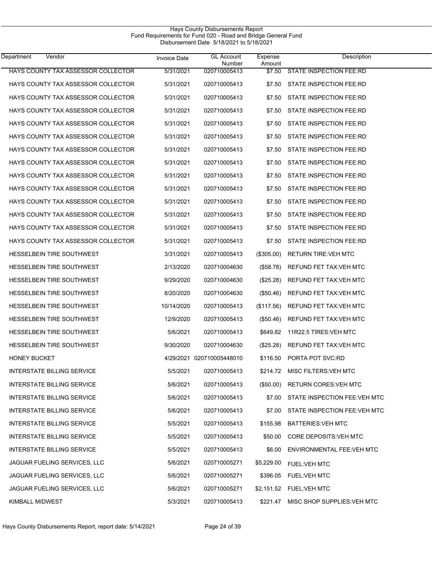| Department<br>Vendor               | <b>Invoice Date</b> | <b>GL Account</b><br>Number | Expense<br>Amount | Description                          |  |
|------------------------------------|---------------------|-----------------------------|-------------------|--------------------------------------|--|
| HAYS COUNTY TAX ASSESSOR COLLECTOR | 5/31/2021           | 020710005413                | \$7.50            | STATE INSPECTION FEE:RD              |  |
| HAYS COUNTY TAX ASSESSOR COLLECTOR | 5/31/2021           | 020710005413                | \$7.50            | STATE INSPECTION FEE:RD              |  |
| HAYS COUNTY TAX ASSESSOR COLLECTOR | 5/31/2021           | 020710005413                | \$7.50            | STATE INSPECTION FEE:RD              |  |
| HAYS COUNTY TAX ASSESSOR COLLECTOR | 5/31/2021           | 020710005413                | \$7.50            | STATE INSPECTION FEE:RD              |  |
| HAYS COUNTY TAX ASSESSOR COLLECTOR | 5/31/2021           | 020710005413                | \$7.50            | STATE INSPECTION FEE:RD              |  |
| HAYS COUNTY TAX ASSESSOR COLLECTOR | 5/31/2021           | 020710005413                | \$7.50            | STATE INSPECTION FEE:RD              |  |
| HAYS COUNTY TAX ASSESSOR COLLECTOR | 5/31/2021           | 020710005413                | \$7.50            | STATE INSPECTION FEE:RD              |  |
| HAYS COUNTY TAX ASSESSOR COLLECTOR | 5/31/2021           | 020710005413                | \$7.50            | STATE INSPECTION FEE:RD              |  |
| HAYS COUNTY TAX ASSESSOR COLLECTOR | 5/31/2021           | 020710005413                | \$7.50            | STATE INSPECTION FEE:RD              |  |
| HAYS COUNTY TAX ASSESSOR COLLECTOR | 5/31/2021           | 020710005413                | \$7.50            | STATE INSPECTION FEE:RD              |  |
| HAYS COUNTY TAX ASSESSOR COLLECTOR | 5/31/2021           | 020710005413                | \$7.50            | STATE INSPECTION FEE:RD              |  |
| HAYS COUNTY TAX ASSESSOR COLLECTOR | 5/31/2021           | 020710005413                | \$7.50            | STATE INSPECTION FEE:RD              |  |
| HAYS COUNTY TAX ASSESSOR COLLECTOR | 5/31/2021           | 020710005413                | \$7.50            | STATE INSPECTION FEE:RD              |  |
| HAYS COUNTY TAX ASSESSOR COLLECTOR | 5/31/2021           | 020710005413                | \$7.50            | STATE INSPECTION FEE:RD              |  |
| <b>HESSELBEIN TIRE SOUTHWEST</b>   | 3/31/2021           | 020710005413                | $(\$305.00)$      | RETURN TIRE: VEH MTC                 |  |
| HESSELBEIN TIRE SOUTHWEST          | 2/13/2020           | 020710004630                | (\$58.78)         | REFUND FET TAX: VEH MTC              |  |
| <b>HESSELBEIN TIRE SOUTHWEST</b>   | 9/29/2020           | 020710004630                | (\$25.28)         | REFUND FET TAX: VEH MTC              |  |
| <b>HESSELBEIN TIRE SOUTHWEST</b>   | 8/20/2020           | 020710004630                | (\$50.46)         | REFUND FET TAX: VEH MTC              |  |
| <b>HESSELBEIN TIRE SOUTHWEST</b>   | 10/14/2020          | 020710005413                | (\$117.56)        | REFUND FET TAX: VEH MTC              |  |
| <b>HESSELBEIN TIRE SOUTHWEST</b>   | 12/9/2020           | 020710005413                | (\$50.46)         | REFUND FET TAX: VEH MTC              |  |
| <b>HESSELBEIN TIRE SOUTHWEST</b>   | 5/6/2021            | 020710005413                | \$649.82          | 11R22.5 TIRES: VEH MTC               |  |
| HESSELBEIN TIRE SOUTHWEST          | 9/30/2020           | 020710004630                | (\$25.28)         | REFUND FET TAX: VEH MTC              |  |
| <b>HONEY BUCKET</b>                |                     | 4/29/2021 020710005448010   | \$116.50          | PORTA POT SVC:RD                     |  |
| <b>INTERSTATE BILLING SERVICE</b>  | 5/5/2021            | 020710005413                | \$214.72          | MISC FILTERS: VEH MTC                |  |
| <b>INTERSTATE BILLING SERVICE</b>  | 5/6/2021            | 020710005413                | (\$50.00)         | <b>RETURN CORES: VEH MTC</b>         |  |
| <b>INTERSTATE BILLING SERVICE</b>  | 5/6/2021            | 020710005413                |                   | \$7.00 STATE INSPECTION FEE: VEH MTC |  |
| <b>INTERSTATE BILLING SERVICE</b>  | 5/6/2021            | 020710005413                | \$7.00            | STATE INSPECTION FEE: VEH MTC        |  |
| <b>INTERSTATE BILLING SERVICE</b>  | 5/5/2021            | 020710005413                | \$155.98          | <b>BATTERIES: VEH MTC</b>            |  |
| <b>INTERSTATE BILLING SERVICE</b>  | 5/5/2021            | 020710005413                | \$50.00           | CORE DEPOSITS: VEH MTC               |  |
| <b>INTERSTATE BILLING SERVICE</b>  | 5/5/2021            | 020710005413                | \$6.00            | ENVIRONMENTAL FEE: VEH MTC           |  |
| JAGUAR FUELING SERVICES, LLC       | 5/6/2021            | 020710005271                | \$5,229.00        | <b>FUEL:VEH MTC</b>                  |  |
| JAGUAR FUELING SERVICES, LLC       | 5/6/2021            | 020710005271                | \$396.05          | <b>FUEL:VEH MTC</b>                  |  |
| JAGUAR FUELING SERVICES, LLC       | 5/6/2021            | 020710005271                |                   | \$2,151.52 FUEL: VEH MTC             |  |
| KIMBALL MIDWEST                    | 5/3/2021            | 020710005413                | \$221.47          | MISC SHOP SUPPLIES VEH MTC           |  |

Hays County Disbursements Report Fund Requirements for Fund 020 - Road and Bridge General Fund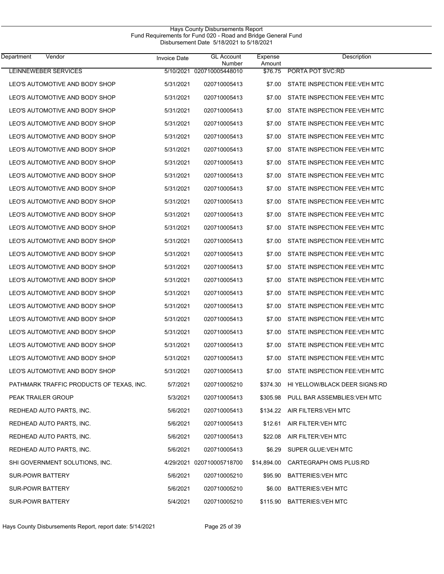| Vendor<br>Department                     | <b>Invoice Date</b> | <b>GL Account</b><br>Number | Expense<br>Amount | Description                   |  |
|------------------------------------------|---------------------|-----------------------------|-------------------|-------------------------------|--|
| LEINNEWEBER SERVICES                     |                     | 5/10/2021 020710005448010   | \$76.75           | PORTA POT SVC:RD              |  |
| LEO'S AUTOMOTIVE AND BODY SHOP           | 5/31/2021           | 020710005413                | \$7.00            | STATE INSPECTION FEE: VEH MTC |  |
| LEO'S AUTOMOTIVE AND BODY SHOP           | 5/31/2021           | 020710005413                | \$7.00            | STATE INSPECTION FEE.VEH MTC  |  |
| LEO'S AUTOMOTIVE AND BODY SHOP           | 5/31/2021           | 020710005413                | \$7.00            | STATE INSPECTION FEE: VEH MTC |  |
| LEO'S AUTOMOTIVE AND BODY SHOP           | 5/31/2021           | 020710005413                | \$7.00            | STATE INSPECTION FEE.VEH MTC  |  |
| LEO'S AUTOMOTIVE AND BODY SHOP           | 5/31/2021           | 020710005413                | \$7.00            | STATE INSPECTION FEE: VEH MTC |  |
| LEO'S AUTOMOTIVE AND BODY SHOP           | 5/31/2021           | 020710005413                | \$7.00            | STATE INSPECTION FEE: VEH MTC |  |
| LEO'S AUTOMOTIVE AND BODY SHOP           | 5/31/2021           | 020710005413                | \$7.00            | STATE INSPECTION FEE: VEH MTC |  |
| LEO'S AUTOMOTIVE AND BODY SHOP           | 5/31/2021           | 020710005413                | \$7.00            | STATE INSPECTION FEE: VEH MTC |  |
| LEO'S AUTOMOTIVE AND BODY SHOP           | 5/31/2021           | 020710005413                | \$7.00            | STATE INSPECTION FEE: VEH MTC |  |
| LEO'S AUTOMOTIVE AND BODY SHOP           | 5/31/2021           | 020710005413                | \$7.00            | STATE INSPECTION FEE.VEH MTC  |  |
| LEO'S AUTOMOTIVE AND BODY SHOP           | 5/31/2021           | 020710005413                | \$7.00            | STATE INSPECTION FEE: VEH MTC |  |
| LEO'S AUTOMOTIVE AND BODY SHOP           | 5/31/2021           | 020710005413                | \$7.00            | STATE INSPECTION FEE.VEH MTC  |  |
| LEO'S AUTOMOTIVE AND BODY SHOP           | 5/31/2021           | 020710005413                | \$7.00            | STATE INSPECTION FEE: VEH MTC |  |
| LEO'S AUTOMOTIVE AND BODY SHOP           | 5/31/2021           | 020710005413                | \$7.00            | STATE INSPECTION FEE: VEH MTC |  |
| LEO'S AUTOMOTIVE AND BODY SHOP           | 5/31/2021           | 020710005413                | \$7.00            | STATE INSPECTION FEE: VEH MTC |  |
| LEO'S AUTOMOTIVE AND BODY SHOP           | 5/31/2021           | 020710005413                | \$7.00            | STATE INSPECTION FEE: VEH MTC |  |
| LEO'S AUTOMOTIVE AND BODY SHOP           | 5/31/2021           | 020710005413                | \$7.00            | STATE INSPECTION FEE: VEH MTC |  |
| LEO'S AUTOMOTIVE AND BODY SHOP           | 5/31/2021           | 020710005413                | \$7.00            | STATE INSPECTION FEE.VEH MTC  |  |
| LEO'S AUTOMOTIVE AND BODY SHOP           | 5/31/2021           | 020710005413                | \$7.00            | STATE INSPECTION FEE: VEH MTC |  |
| LEO'S AUTOMOTIVE AND BODY SHOP           | 5/31/2021           | 020710005413                | \$7.00            | STATE INSPECTION FEE: VEH MTC |  |
| LEO'S AUTOMOTIVE AND BODY SHOP           | 5/31/2021           | 020710005413                | \$7.00            | STATE INSPECTION FEE: VEH MTC |  |
| LEO'S AUTOMOTIVE AND BODY SHOP           | 5/31/2021           | 020710005413                | \$7.00            | STATE INSPECTION FEE: VEH MTC |  |
| LEO'S AUTOMOTIVE AND BODY SHOP           | 5/31/2021           | 020710005413                | \$7.00            | STATE INSPECTION FEE: VEH MTC |  |
| PATHMARK TRAFFIC PRODUCTS OF TEXAS, INC. | 5/7/2021            | 020710005210                | \$374.30          | HI YELLOW/BLACK DEER SIGNS:RD |  |
| PEAK TRAILER GROUP                       | 5/3/2021            | 020710005413                | \$305.98          | PULL BAR ASSEMBLIES: VEH MTC  |  |
| REDHEAD AUTO PARTS, INC.                 | 5/6/2021            | 020710005413                |                   | \$134.22 AIR FILTERS: VEH MTC |  |
| REDHEAD AUTO PARTS, INC.                 | 5/6/2021            | 020710005413                | \$12.61           | AIR FILTER: VEH MTC           |  |
| REDHEAD AUTO PARTS, INC.                 | 5/6/2021            | 020710005413                | \$22.08           | AIR FILTER: VEH MTC           |  |
| REDHEAD AUTO PARTS, INC.                 | 5/6/2021            | 020710005413                | \$6.29            | SUPER GLUE: VEH MTC           |  |
| SHI GOVERNMENT SOLUTIONS, INC.           |                     | 4/29/2021 020710005718700   | \$14,894.00       | CARTEGRAPH OMS PLUS:RD        |  |
| SUR-POWR BATTERY                         | 5/6/2021            | 020710005210                | \$95.90           | <b>BATTERIES: VEH MTC</b>     |  |
| SUR-POWR BATTERY                         | 5/6/2021            | 020710005210                | \$6.00            | <b>BATTERIES: VEH MTC</b>     |  |
| <b>SUR-POWR BATTERY</b>                  | 5/4/2021            | 020710005210                | \$115.90          | BATTERIES: VEH MTC            |  |

Hays County Disbursements Report Fund Requirements for Fund 020 - Road and Bridge General Fund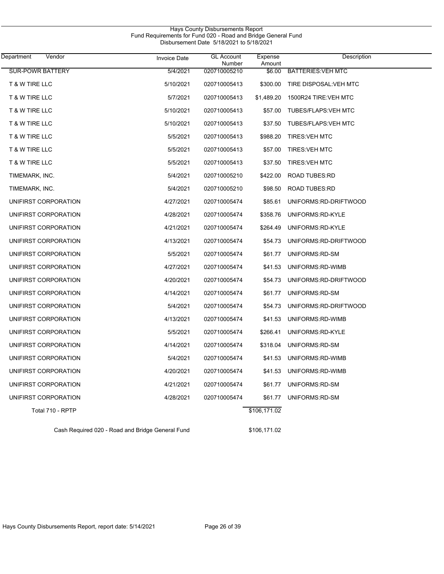| Vendor<br>Department    | <b>Invoice Date</b> | <b>GL Account</b><br>Number | Expense<br>Amount | <b>Description</b>         |
|-------------------------|---------------------|-----------------------------|-------------------|----------------------------|
| <b>SUR-POWR BATTERY</b> | 5/4/2021            | 020710005210                | \$6.00            | <b>BATTERIES: VEH MTC</b>  |
| T & W TIRE LLC          | 5/10/2021           | 020710005413                | \$300.00          | TIRE DISPOSAL: VEH MTC     |
| T & W TIRE LLC          | 5/7/2021            | 020710005413                | \$1,489.20        | 1500R24 TIRE: VEH MTC      |
| T & W TIRE LLC          | 5/10/2021           | 020710005413                | \$57.00           | <b>TUBES/FLAPS:VEH MTC</b> |
| T & W TIRE LLC          | 5/10/2021           | 020710005413                | \$37.50           | <b>TUBES/FLAPS:VEH MTC</b> |
| T & W TIRE LLC          | 5/5/2021            | 020710005413                | \$988.20          | <b>TIRES: VEH MTC</b>      |
| T & W TIRE LLC          | 5/5/2021            | 020710005413                | \$57.00           | <b>TIRES: VEH MTC</b>      |
| T & W TIRE LLC          | 5/5/2021            | 020710005413                | \$37.50           | <b>TIRES: VEH MTC</b>      |
| TIMEMARK, INC.          | 5/4/2021            | 020710005210                | \$422.00          | <b>ROAD TUBES:RD</b>       |
| TIMEMARK, INC.          | 5/4/2021            | 020710005210                | \$98.50           | <b>ROAD TUBES:RD</b>       |
| UNIFIRST CORPORATION    | 4/27/2021           | 020710005474                | \$85.61           | UNIFORMS:RD-DRIFTWOOD      |
| UNIFIRST CORPORATION    | 4/28/2021           | 020710005474                | \$358.76          | UNIFORMS:RD-KYLE           |
| UNIFIRST CORPORATION    | 4/21/2021           | 020710005474                | \$264.49          | UNIFORMS:RD-KYLE           |
| UNIFIRST CORPORATION    | 4/13/2021           | 020710005474                | \$54.73           | UNIFORMS:RD-DRIFTWOOD      |
| UNIFIRST CORPORATION    | 5/5/2021            | 020710005474                | \$61.77           | UNIFORMS:RD-SM             |
| UNIFIRST CORPORATION    | 4/27/2021           | 020710005474                | \$41.53           | UNIFORMS:RD-WIMB           |
| UNIFIRST CORPORATION    | 4/20/2021           | 020710005474                | \$54.73           | UNIFORMS:RD-DRIFTWOOD      |
| UNIFIRST CORPORATION    | 4/14/2021           | 020710005474                | \$61.77           | UNIFORMS:RD-SM             |
| UNIFIRST CORPORATION    | 5/4/2021            | 020710005474                | \$54.73           | UNIFORMS:RD-DRIFTWOOD      |
| UNIFIRST CORPORATION    | 4/13/2021           | 020710005474                | \$41.53           | UNIFORMS:RD-WIMB           |
| UNIFIRST CORPORATION    | 5/5/2021            | 020710005474                | \$266.41          | UNIFORMS:RD-KYLE           |
| UNIFIRST CORPORATION    | 4/14/2021           | 020710005474                | \$318.04          | UNIFORMS:RD-SM             |
| UNIFIRST CORPORATION    | 5/4/2021            | 020710005474                |                   | \$41.53 UNIFORMS:RD-WIMB   |
| UNIFIRST CORPORATION    | 4/20/2021           | 020710005474                | \$41.53           | UNIFORMS:RD-WIMB           |
| UNIFIRST CORPORATION    | 4/21/2021           | 020710005474                | \$61.77           | UNIFORMS:RD-SM             |
| UNIFIRST CORPORATION    | 4/28/2021           | 020710005474                | \$61.77           | UNIFORMS.RD-SM             |
| Total 710 - RPTP        |                     |                             | \$106,171.02      |                            |

Hays County Disbursements Report

Cash Required 020 - Road and Bridge General Fund \$106,171.02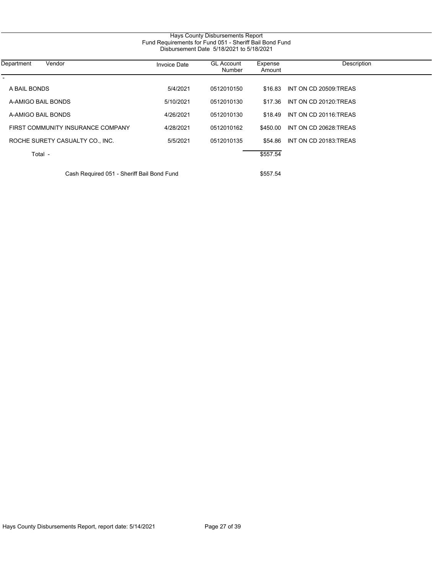| Department<br>Vendor              | <b>Invoice Date</b> | <b>GL Account</b><br>Number | Expense<br>Amount | Description           |
|-----------------------------------|---------------------|-----------------------------|-------------------|-----------------------|
| A BAIL BONDS                      | 5/4/2021            | 0512010150                  | \$16.83           | INT ON CD 20509 TREAS |
| A-AMIGO BAIL BONDS                | 5/10/2021           | 0512010130                  | \$17.36           | INT ON CD 20120 TREAS |
| A-AMIGO BAIL BONDS                | 4/26/2021           | 0512010130                  | \$18.49           | INT ON CD 20116.TREAS |
| FIRST COMMUNITY INSURANCE COMPANY | 4/28/2021           | 0512010162                  | \$450.00          | INT ON CD 20628.TREAS |
| ROCHE SURETY CASUALTY CO., INC.   | 5/5/2021            | 0512010135                  | \$54.86           | INT ON CD 20183.TREAS |
| Total -                           |                     |                             | \$557.54          |                       |

Hays County Disbursements Report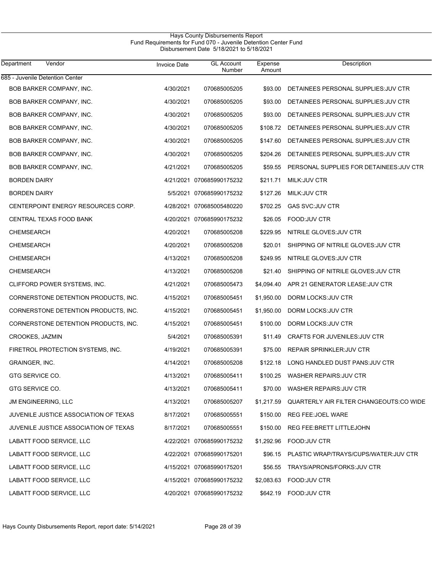#### Hays County Disbursements Report Fund Requirements for Fund 070 - Juvenile Detention Center Fund Disbursement Date 5/18/2021 to 5/18/2021

| Department<br>Vendor                  | <b>Invoice Date</b> | <b>GL Account</b><br>Number | Expense<br>Amount | Description                                        |
|---------------------------------------|---------------------|-----------------------------|-------------------|----------------------------------------------------|
| 685 - Juvenile Detention Center       |                     |                             |                   |                                                    |
| <b>BOB BARKER COMPANY, INC.</b>       | 4/30/2021           | 070685005205                | \$93.00           | DETAINEES PERSONAL SUPPLIES: JUV CTR               |
| BOB BARKER COMPANY, INC.              | 4/30/2021           | 070685005205                | \$93.00           | DETAINEES PERSONAL SUPPLIES: JUV CTR               |
| BOB BARKER COMPANY, INC.              | 4/30/2021           | 070685005205                | \$93.00           | DETAINEES PERSONAL SUPPLIES: JUV CTR               |
| BOB BARKER COMPANY, INC.              | 4/30/2021           | 070685005205                | \$108.72          | DETAINEES PERSONAL SUPPLIES JUV CTR                |
| BOB BARKER COMPANY, INC.              | 4/30/2021           | 070685005205                | \$147.60          | DETAINEES PERSONAL SUPPLIES: JUV CTR               |
| BOB BARKER COMPANY, INC.              | 4/30/2021           | 070685005205                | \$204.26          | DETAINEES PERSONAL SUPPLIES: JUV CTR               |
| BOB BARKER COMPANY, INC.              | 4/21/2021           | 070685005205                | \$59.55           | PERSONAL SUPPLIES FOR DETAINEES: JUV CTR           |
| <b>BORDEN DAIRY</b>                   |                     | 4/21/2021 070685990175232   | \$211.71          | <b>MILK:JUV CTR</b>                                |
| <b>BORDEN DAIRY</b>                   |                     | 5/5/2021 070685990175232    | \$127.26          | <b>MILK:JUV CTR</b>                                |
| CENTERPOINT ENERGY RESOURCES CORP.    |                     | 4/28/2021 070685005480220   | \$702.25          | <b>GAS SVC:JUV CTR</b>                             |
| CENTRAL TEXAS FOOD BANK               |                     | 4/20/2021 070685990175232   | \$26.05           | FOOD: JUV CTR                                      |
| <b>CHEMSEARCH</b>                     | 4/20/2021           | 070685005208                | \$229.95          | NITRILE GLOVES: JUV CTR                            |
| CHEMSEARCH                            | 4/20/2021           | 070685005208                | \$20.01           | SHIPPING OF NITRILE GLOVES: JUV CTR                |
| <b>CHEMSEARCH</b>                     | 4/13/2021           | 070685005208                | \$249.95          | NITRILE GLOVES: JUV CTR                            |
| CHEMSEARCH                            | 4/13/2021           | 070685005208                | \$21.40           | SHIPPING OF NITRILE GLOVES: JUV CTR                |
| CLIFFORD POWER SYSTEMS, INC.          | 4/21/2021           | 070685005473                | \$4,094.40        | APR 21 GENERATOR LEASE: JUV CTR                    |
| CORNERSTONE DETENTION PRODUCTS, INC.  | 4/15/2021           | 070685005451                | \$1,950.00        | DORM LOCKS: JUV CTR                                |
| CORNERSTONE DETENTION PRODUCTS, INC.  | 4/15/2021           | 070685005451                | \$1,950.00        | DORM LOCKS: JUV CTR                                |
| CORNERSTONE DETENTION PRODUCTS, INC.  | 4/15/2021           | 070685005451                | \$100.00          | DORM LOCKS: JUV CTR                                |
| CROOKES, JAZMIN                       | 5/4/2021            | 070685005391                | \$11.49           | CRAFTS FOR JUVENILES: JUV CTR                      |
| FIRETROL PROTECTION SYSTEMS, INC.     | 4/19/2021           | 070685005391                | \$75.00           | REPAIR SPRINKLER: JUV CTR                          |
| GRAINGER, INC.                        | 4/14/2021           | 070685005208                | \$122.18          | LONG HANDLED DUST PANS: JUV CTR                    |
| GTG SERVICE CO.                       | 4/13/2021           | 070685005411                |                   | \$100.25 WASHER REPAIRS.JUV CTR                    |
| GTG SERVICE CO.                       | 4/13/2021           | 070685005411                |                   | \$70.00 WASHER REPAIRS: JUV CTR                    |
| JM ENGINEERING, LLC                   | 4/13/2021           | 070685005207                |                   | \$1,217.59 QUARTERLY AIR FILTER CHANGEOUTS:CO WIDE |
| JUVENILE JUSTICE ASSOCIATION OF TEXAS | 8/17/2021           | 070685005551                | \$150.00          | REG FEE: JOEL WARE                                 |
| JUVENILE JUSTICE ASSOCIATION OF TEXAS | 8/17/2021           | 070685005551                | \$150.00          | <b>REG FEE: BRETT LITTLEJOHN</b>                   |
| LABATT FOOD SERVICE, LLC              |                     | 4/22/2021 070685990175232   | \$1,292.96        | FOOD: JUV CTR                                      |
| LABATT FOOD SERVICE, LLC              |                     | 4/22/2021 070685990175201   |                   | \$96.15 PLASTIC WRAP/TRAYS/CUPS/WATER:JUV CTR      |
| LABATT FOOD SERVICE, LLC              |                     | 4/15/2021 070685990175201   | \$56.55           | TRAYS/APRONS/FORKS: JUV CTR                        |
| LABATT FOOD SERVICE, LLC              |                     | 4/15/2021 070685990175232   |                   | \$2,083.63 FOOD: JUV CTR                           |
| LABATT FOOD SERVICE, LLC              |                     | 4/20/2021 070685990175232   |                   | \$642.19 FOOD: JUV CTR                             |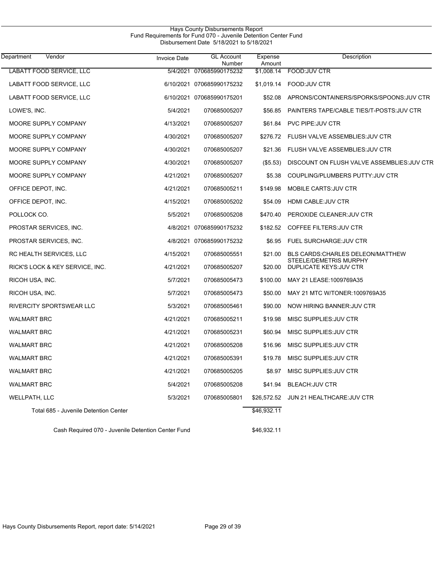| Vendor<br>Department                  | <b>Invoice Date</b> | <b>GL Account</b><br>Number | Expense<br>Amount | Description                                              |
|---------------------------------------|---------------------|-----------------------------|-------------------|----------------------------------------------------------|
| <b>LABATT FOOD SERVICE, LLC</b>       | 5/4/2021            | 070685990175232             | \$1,008.14        | FOOD:JUV CTR                                             |
| LABATT FOOD SERVICE, LLC              |                     | 6/10/2021 070685990175232   | \$1,019.14        | FOOD: JUV CTR                                            |
| LABATT FOOD SERVICE, LLC              |                     | 6/10/2021 070685990175201   | \$52.08           | APRONS/CONTAINERS/SPORKS/SPOONS: JUV CTR                 |
| LOWE'S, INC.                          | 5/4/2021            | 070685005207                | \$56.85           | PAINTERS TAPE/CABLE TIES/T-POSTS: JUV CTR                |
| MOORE SUPPLY COMPANY                  | 4/13/2021           | 070685005207                | \$61.84           | PVC PIPE: JUV CTR                                        |
| MOORE SUPPLY COMPANY                  | 4/30/2021           | 070685005207                | \$276.72          | FLUSH VALVE ASSEMBLIES: JUV CTR                          |
| MOORE SUPPLY COMPANY                  | 4/30/2021           | 070685005207                | \$21.36           | FLUSH VALVE ASSEMBLIES: JUV CTR                          |
| MOORE SUPPLY COMPANY                  | 4/30/2021           | 070685005207                | (\$5.53)          | DISCOUNT ON FLUSH VALVE ASSEMBLIES: JUV CTR              |
| MOORE SUPPLY COMPANY                  | 4/21/2021           | 070685005207                | \$5.38            | COUPLING/PLUMBERS PUTTY: JUV CTR                         |
| OFFICE DEPOT, INC.                    | 4/21/2021           | 070685005211                | \$149.98          | MOBILE CARTS: JUV CTR                                    |
| OFFICE DEPOT, INC.                    | 4/15/2021           | 070685005202                | \$54.09           | HDMI CABLE: JUV CTR                                      |
| POLLOCK CO.                           | 5/5/2021            | 070685005208                | \$470.40          | PEROXIDE CLEANER: JUV CTR                                |
| PROSTAR SERVICES, INC.                | 4/8/2021            | 070685990175232             | \$182.52          | COFFEE FILTERS: JUV CTR                                  |
| PROSTAR SERVICES, INC.                |                     | 4/8/2021 070685990175232    | \$6.95            | <b>FUEL SURCHARGE: JUV CTR</b>                           |
| RC HEALTH SERVICES, LLC               | 4/15/2021           | 070685005551                | \$21.00           | <b>BLS CARDS: CHARLES DELEON/MATTHEW</b>                 |
| RICK'S LOCK & KEY SERVICE, INC.       | 4/21/2021           | 070685005207                | \$20.00           | STEELE/DEMETRIS MURPHY<br><b>DUPLICATE KEYS: JUV CTR</b> |
| RICOH USA, INC.                       | 5/7/2021            | 070685005473                | \$100.00          | MAY 21 LEASE: 1009769A35                                 |
| RICOH USA, INC.                       | 5/7/2021            | 070685005473                | \$50.00           | MAY 21 MTC W/TONER: 1009769A35                           |
| RIVERCITY SPORTSWEAR LLC              | 5/3/2021            | 070685005461                | \$90.00           | NOW HIRING BANNER: JUV CTR                               |
| <b>WALMART BRC</b>                    | 4/21/2021           | 070685005211                | \$19.98           | MISC SUPPLIES: JUV CTR                                   |
| <b>WALMART BRC</b>                    | 4/21/2021           | 070685005231                | \$60.94           | MISC SUPPLIES: JUV CTR                                   |
| <b>WALMART BRC</b>                    | 4/21/2021           | 070685005208                | \$16.96           | MISC SUPPLIES: JUV CTR                                   |
| <b>WALMART BRC</b>                    | 4/21/2021           | 070685005391                |                   | \$19.78 MISC SUPPLIES: JUV CTR                           |
| <b>WALMART BRC</b>                    | 4/21/2021           | 070685005205                | \$8.97            | MISC SUPPLIES: JUV CTR                                   |
| <b>WALMART BRC</b>                    | 5/4/2021            | 070685005208                | \$41.94           | <b>BLEACH: JUV CTR</b>                                   |
| WELLPATH, LLC                         | 5/3/2021            | 070685005801                |                   | \$26,572.52 JUN 21 HEALTHCARE: JUV CTR                   |
| Total 685 - Juvenile Detention Center |                     |                             | \$46,932.11       |                                                          |

Hays County Disbursements Report

Cash Required 070 - Juvenile Detention Center Fund \$46,932.11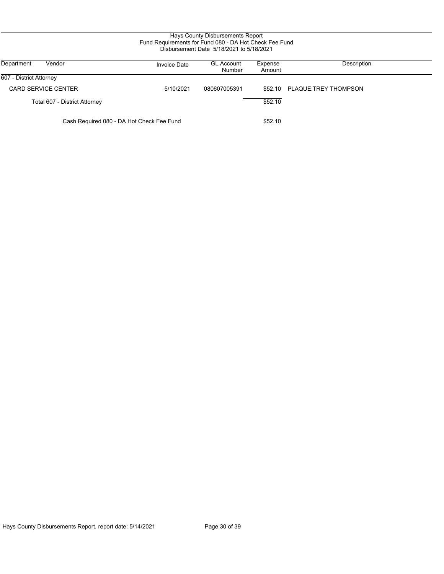| Hays County Disbursements Report<br>Fund Requirements for Fund 080 - DA Hot Check Fee Fund<br>Disbursement Date 5/18/2021 to 5/18/2021 |                     |                             |                   |                      |  |
|----------------------------------------------------------------------------------------------------------------------------------------|---------------------|-----------------------------|-------------------|----------------------|--|
| Department<br>Vendor                                                                                                                   | <b>Invoice Date</b> | <b>GL Account</b><br>Number | Expense<br>Amount | Description          |  |
| 607 - District Attorney                                                                                                                |                     |                             |                   |                      |  |
| <b>CARD SERVICE CENTER</b>                                                                                                             | 5/10/2021           | 080607005391                | \$52.10           | PLAQUE:TREY THOMPSON |  |
| Total 607 - District Attorney                                                                                                          |                     |                             | \$52.10           |                      |  |
| Cash Required 080 - DA Hot Check Fee Fund                                                                                              |                     |                             | \$52.10           |                      |  |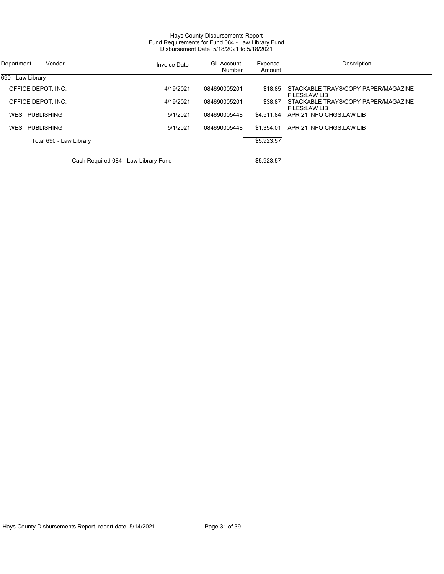| Department<br>Vendor                 | <b>Invoice Date</b> | <b>GL Account</b><br>Number | Expense<br>Amount | Description                                          |
|--------------------------------------|---------------------|-----------------------------|-------------------|------------------------------------------------------|
| 690 - Law Library                    |                     |                             |                   |                                                      |
| OFFICE DEPOT. INC.                   | 4/19/2021           | 084690005201                | \$18.85           | STACKABLE TRAYS/COPY PAPER/MAGAZINE<br>FILES:LAW LIB |
| OFFICE DEPOT. INC.                   | 4/19/2021           | 084690005201                | \$38.87           | STACKABLE TRAYS/COPY PAPER/MAGAZINE<br>FILES:LAW LIB |
| <b>WEST PUBLISHING</b>               | 5/1/2021            | 084690005448                |                   | \$4.511.84 APR 21 INFO CHGS:LAW LIB                  |
| <b>WEST PUBLISHING</b>               | 5/1/2021            | 084690005448                | \$1.354.01        | APR 21 INFO CHGS: LAW LIB                            |
| Total 690 - Law Library              |                     |                             | \$5,923.57        |                                                      |
| Cash Required 084 - Law Library Fund |                     |                             | \$5,923.57        |                                                      |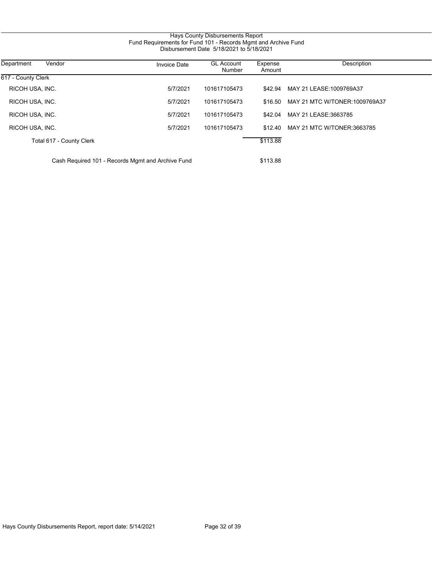| Hays County Disbursements Report                               |
|----------------------------------------------------------------|
| Fund Requirements for Fund 101 - Records Mgmt and Archive Fund |
| Disbursement Date 5/18/2021 to 5/18/2021                       |

| Department<br>Vendor     | <b>Invoice Date</b>                               | <b>GL Account</b><br>Number | Expense<br>Amount | Description                        |
|--------------------------|---------------------------------------------------|-----------------------------|-------------------|------------------------------------|
| 617 - County Clerk       |                                                   |                             |                   |                                    |
| RICOH USA, INC.          | 5/7/2021                                          | 101617105473                |                   | \$42.94 MAY 21 LEASE:1009769A37    |
| RICOH USA, INC.          | 5/7/2021                                          | 101617105473                | \$16.50           | MAY 21 MTC W/TONER:1009769A37      |
| RICOH USA, INC.          | 5/7/2021                                          | 101617105473                |                   | \$42.04 MAY 21 LEASE:3663785       |
| RICOH USA, INC.          | 5/7/2021                                          | 101617105473                |                   | \$12.40 MAY 21 MTC W/TONER:3663785 |
| Total 617 - County Clerk |                                                   |                             | \$113.88          |                                    |
|                          | Cash Required 101 - Records Mgmt and Archive Fund |                             | \$113.88          |                                    |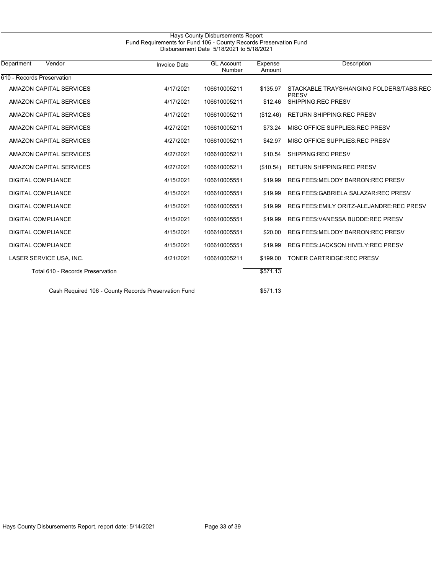| Hays County Disbursements Report                                                                              |                     |                             |                   |                                                          |  |  |
|---------------------------------------------------------------------------------------------------------------|---------------------|-----------------------------|-------------------|----------------------------------------------------------|--|--|
| Fund Requirements for Fund 106 - County Records Preservation Fund<br>Disbursement Date 5/18/2021 to 5/18/2021 |                     |                             |                   |                                                          |  |  |
| Vendor<br>Department                                                                                          | <b>Invoice Date</b> | <b>GL Account</b><br>Number | Expense<br>Amount | Description                                              |  |  |
| 610 - Records Preservation                                                                                    |                     |                             |                   |                                                          |  |  |
| AMAZON CAPITAL SERVICES                                                                                       | 4/17/2021           | 106610005211                | \$135.97          | STACKABLE TRAYS/HANGING FOLDERS/TABS.REC<br><b>PRESV</b> |  |  |
| AMAZON CAPITAL SERVICES                                                                                       | 4/17/2021           | 106610005211                | \$12.46           | SHIPPING:REC PRESV                                       |  |  |
| AMAZON CAPITAL SERVICES                                                                                       | 4/17/2021           | 106610005211                | (\$12.46)         | <b>RETURN SHIPPING REC PRESV</b>                         |  |  |
| AMAZON CAPITAL SERVICES                                                                                       | 4/27/2021           | 106610005211                | \$73.24           | MISC OFFICE SUPPLIES: REC PRESV                          |  |  |
| AMAZON CAPITAL SERVICES                                                                                       | 4/27/2021           | 106610005211                | \$42.97           | MISC OFFICE SUPPLIES: REC PRESV                          |  |  |
| AMAZON CAPITAL SERVICES                                                                                       | 4/27/2021           | 106610005211                | \$10.54           | SHIPPING:REC PRESV                                       |  |  |
| AMAZON CAPITAL SERVICES                                                                                       | 4/27/2021           | 106610005211                | (\$10.54)         | <b>RETURN SHIPPING REC PRESV</b>                         |  |  |
| <b>DIGITAL COMPLIANCE</b>                                                                                     | 4/15/2021           | 106610005551                | \$19.99           | <b>REG FEES: MELODY BARRON: REC PRESV</b>                |  |  |
| <b>DIGITAL COMPLIANCE</b>                                                                                     | 4/15/2021           | 106610005551                | \$19.99           | <b>REG FEES: GABRIELA SALAZAR: REC PRESV</b>             |  |  |
| <b>DIGITAL COMPLIANCE</b>                                                                                     | 4/15/2021           | 106610005551                | \$19.99           | REG FEES: EMILY ORITZ-ALEJANDRE: REC PRESV               |  |  |
| <b>DIGITAL COMPLIANCE</b>                                                                                     | 4/15/2021           | 106610005551                | \$19.99           | <b>REG FEES: VANESSA BUDDE: REC PRESV</b>                |  |  |
| <b>DIGITAL COMPLIANCE</b>                                                                                     | 4/15/2021           | 106610005551                | \$20.00           | <b>REG FEES: MELODY BARRON: REC PRESV</b>                |  |  |
| <b>DIGITAL COMPLIANCE</b>                                                                                     | 4/15/2021           | 106610005551                | \$19.99           | <b>REG FEES: JACKSON HIVELY: REC PRESV</b>               |  |  |
| LASER SERVICE USA, INC.                                                                                       | 4/21/2021           | 106610005211                | \$199.00          | TONER CARTRIDGE:REC PRESV                                |  |  |
| Total 610 - Records Preservation                                                                              |                     |                             | \$571.13          |                                                          |  |  |
| Cash Required 106 - County Records Preservation Fund                                                          |                     |                             | \$571.13          |                                                          |  |  |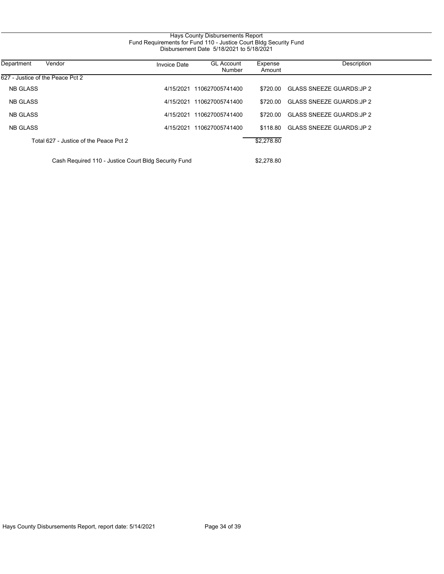# Hays County Disbursements Report Fund Requirements for Fund 110 - Justice Court Bldg Security Fund Disbursement Date 5/18/2021 to 5/18/2021

| Department      | Vendor                                               | <b>Invoice Date</b> | <b>GL Account</b><br>Number | Expense<br>Amount | Description                      |
|-----------------|------------------------------------------------------|---------------------|-----------------------------|-------------------|----------------------------------|
|                 | 627 - Justice of the Peace Pct 2                     |                     |                             |                   |                                  |
| <b>NB GLASS</b> |                                                      | 4/15/2021           | 110627005741400             | \$720.00          | <b>GLASS SNEEZE GUARDS: JP 2</b> |
| <b>NB GLASS</b> |                                                      | 4/15/2021           | 110627005741400             | \$720.00          | <b>GLASS SNEEZE GUARDS: JP 2</b> |
| <b>NB GLASS</b> |                                                      | 4/15/2021           | 110627005741400             | \$720.00          | <b>GLASS SNEEZE GUARDS: JP 2</b> |
| <b>NB GLASS</b> |                                                      | 4/15/2021           | 110627005741400             | \$118.80          | <b>GLASS SNEEZE GUARDS: JP 2</b> |
|                 | Total 627 - Justice of the Peace Pct 2               |                     |                             | \$2,278.80        |                                  |
|                 | Cash Required 110 - Justice Court Bldg Security Fund |                     |                             | \$2,278.80        |                                  |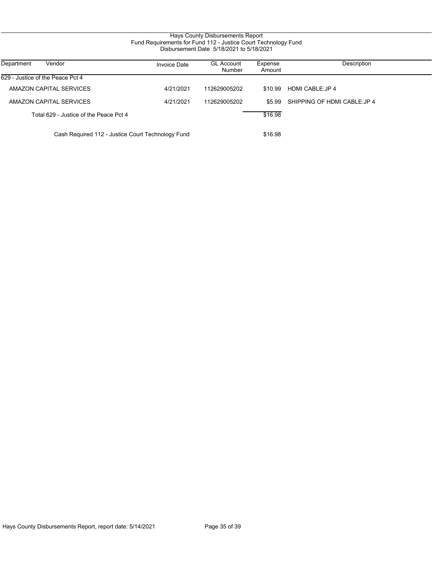# Hays County Disbursements Report Fund Requirements for Fund 112 - Justice Court Technology Fund Disbursement Date 5/18/2021 to 5/18/2021

| Department<br>Vendor                              | <b>Invoice Date</b> | <b>GL Account</b><br>Number | Expense<br>Amount | Description                  |
|---------------------------------------------------|---------------------|-----------------------------|-------------------|------------------------------|
| 629 - Justice of the Peace Pct 4                  |                     |                             |                   |                              |
| AMAZON CAPITAL SERVICES                           | 4/21/2021           | 112629005202                | \$10.99           | HDMI CABLE:JP 4              |
| AMAZON CAPITAL SERVICES                           | 4/21/2021           | 112629005202                | \$5.99            | SHIPPING OF HDMI CABLE: JP 4 |
| Total 629 - Justice of the Peace Pct 4            |                     |                             | \$16.98           |                              |
| Cash Required 112 - Justice Court Technology Fund |                     |                             | \$16.98           |                              |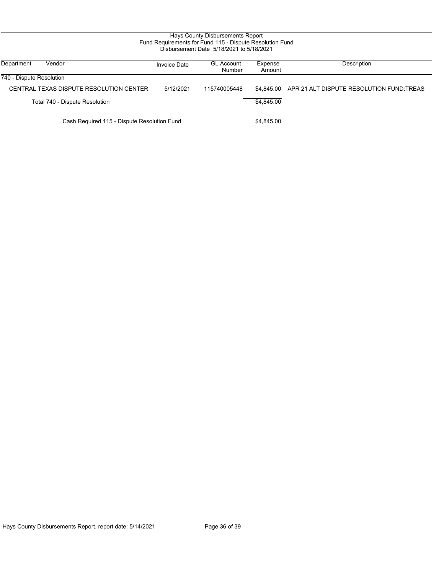| Hays County Disbursements Report<br>Fund Requirements for Fund 115 - Dispute Resolution Fund<br>Disbursement Date 5/18/2021 to 5/18/2021 |                                         |                     |                             |                   |                                          |  |
|------------------------------------------------------------------------------------------------------------------------------------------|-----------------------------------------|---------------------|-----------------------------|-------------------|------------------------------------------|--|
| Department                                                                                                                               | Vendor                                  | <b>Invoice Date</b> | <b>GL Account</b><br>Number | Expense<br>Amount | Description                              |  |
| 740 - Dispute Resolution                                                                                                                 |                                         |                     |                             |                   |                                          |  |
|                                                                                                                                          | CENTRAL TEXAS DISPUTE RESOLUTION CENTER | 5/12/2021           | 115740005448                | \$4.845.00        | APR 21 ALT DISPUTE RESOLUTION FUND TREAS |  |
|                                                                                                                                          | Total 740 - Dispute Resolution          |                     |                             | \$4.845.00        |                                          |  |
| Cash Required 115 - Dispute Resolution Fund                                                                                              |                                         |                     | \$4,845.00                  |                   |                                          |  |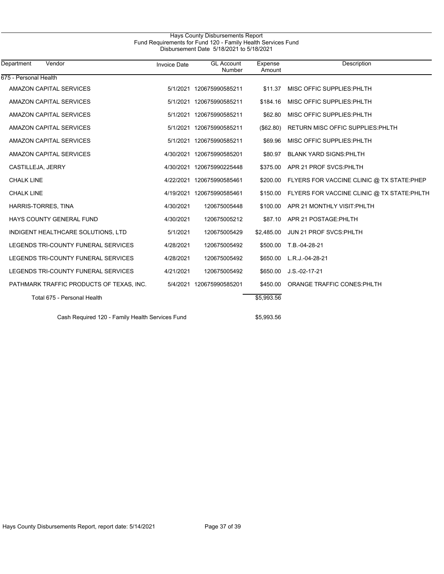## Hays County Disbursements Report Fund Requirements for Fund 120 - Family Health Services Fund Disbursement Date 5/18/2021 to 5/18/2021

| Department<br>Vendor                            | <b>Invoice Date</b> | <b>GL Account</b><br>Number | Expense<br>Amount | Description                                |
|-------------------------------------------------|---------------------|-----------------------------|-------------------|--------------------------------------------|
| 675 - Personal Health                           |                     |                             |                   |                                            |
| AMAZON CAPITAL SERVICES                         |                     | 5/1/2021 120675990585211    | \$11.37           | MISC OFFIC SUPPLIES: PHLTH                 |
| AMAZON CAPITAL SERVICES                         | 5/1/2021            | 120675990585211             | \$184.16          | MISC OFFIC SUPPLIES: PHLTH                 |
| <b>AMAZON CAPITAL SERVICES</b>                  |                     | 5/1/2021 120675990585211    | \$62.80           | MISC OFFIC SUPPLIES: PHLTH                 |
| <b>AMAZON CAPITAL SERVICES</b>                  |                     | 5/1/2021 120675990585211    | (\$62.80)         | RETURN MISC OFFIC SUPPLIES: PHLTH          |
| <b>AMAZON CAPITAL SERVICES</b>                  |                     | 5/1/2021 120675990585211    | \$69.96           | MISC OFFIC SUPPLIES: PHLTH                 |
| AMAZON CAPITAL SERVICES                         |                     | 4/30/2021 120675990585201   | \$80.97           | <b>BLANK YARD SIGNS: PHLTH</b>             |
| CASTILLEJA, JERRY                               |                     | 4/30/2021 120675990225448   | \$375.00          | APR 21 PROF SVCS: PHLTH                    |
| <b>CHALK LINE</b>                               |                     | 4/22/2021 120675990585461   | \$200.00          | FLYERS FOR VACCINE CLINIC @ TX STATE:PHEP  |
| <b>CHALK LINE</b>                               |                     | 4/19/2021 120675990585461   | \$150.00          | FLYERS FOR VACCINE CLINIC @ TX STATE:PHLTH |
| HARRIS-TORRES, TINA                             | 4/30/2021           | 120675005448                | \$100.00          | APR 21 MONTHLY VISIT: PHLTH                |
| HAYS COUNTY GENERAL FUND                        | 4/30/2021           | 120675005212                | \$87.10           | APR 21 POSTAGE: PHLTH                      |
| INDIGENT HEALTHCARE SOLUTIONS, LTD              | 5/1/2021            | 120675005429                | \$2,485.00        | JUN 21 PROF SVCS: PHLTH                    |
| LEGENDS TRI-COUNTY FUNERAL SERVICES             | 4/28/2021           | 120675005492                |                   | \$500.00 T.B.-04-28-21                     |
| LEGENDS TRI-COUNTY FUNERAL SERVICES             | 4/28/2021           | 120675005492                | \$650.00          | L.R.J.-04-28-21                            |
| LEGENDS TRI-COUNTY FUNERAL SERVICES             | 4/21/2021           | 120675005492                | \$650.00          | $J.S. -02 - 17 - 21$                       |
| PATHMARK TRAFFIC PRODUCTS OF TEXAS, INC.        |                     | 5/4/2021 120675990585201    | \$450.00          | ORANGE TRAFFIC CONES: PHLTH                |
| Total 675 - Personal Health                     |                     |                             | \$5,993.56        |                                            |
| Cash Required 120 - Family Health Services Fund |                     |                             | \$5,993.56        |                                            |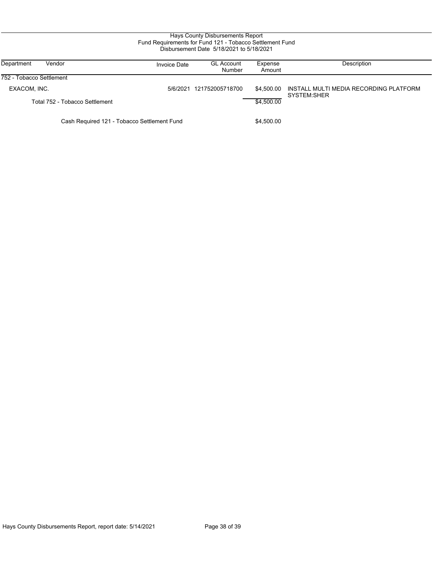| Hays County Disbursements Report<br>Fund Requirements for Fund 121 - Tobacco Settlement Fund<br>Disbursement Date 5/18/2021 to 5/18/2021 |                     |                             |                   |                                                       |  |  |
|------------------------------------------------------------------------------------------------------------------------------------------|---------------------|-----------------------------|-------------------|-------------------------------------------------------|--|--|
| Vendor<br>Department                                                                                                                     | <b>Invoice Date</b> | <b>GL Account</b><br>Number | Expense<br>Amount | Description                                           |  |  |
| 752 - Tobacco Settlement                                                                                                                 |                     |                             |                   |                                                       |  |  |
| EXACOM, INC.                                                                                                                             | 5/6/2021            | 121752005718700             | \$4,500.00        | INSTALL MULTI MEDIA RECORDING PLATFORM<br>SYSTEM:SHER |  |  |
| Total 752 - Tobacco Settlement                                                                                                           |                     |                             | \$4,500.00        |                                                       |  |  |
| Cash Required 121 - Tobacco Settlement Fund                                                                                              |                     |                             | \$4,500.00        |                                                       |  |  |